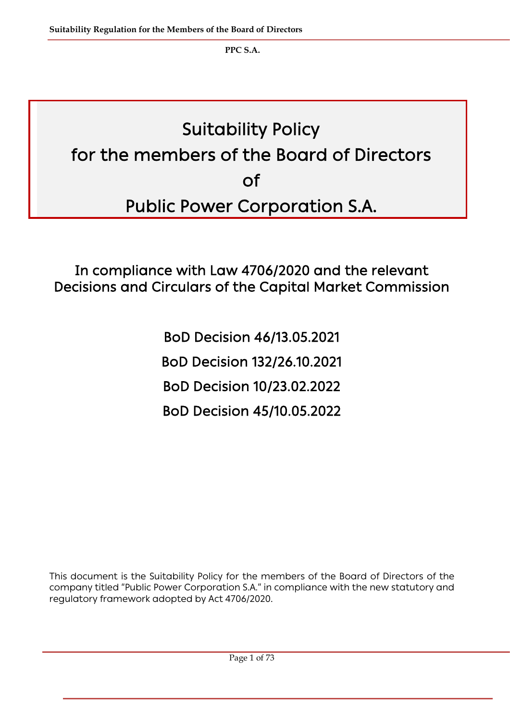# Suitability Policy for the members of the Board of Directors of Public Power Corporation S.A.

In compliance with Law 4706/2020 and the relevant Decisions and Circulars of the Capital Market Commission

> BoD Decision 46/13.05.2021 BoD Decision 132/26.10.2021 BoD Decision 10/23.02.2022 BoD Decision 45/10.05.2022

This document is the Suitability Policy for the members of the Board of Directors of the company titled "Public Power Corporation S.A." in compliance with the new statutory and regulatory framework adopted by Act 4706/2020.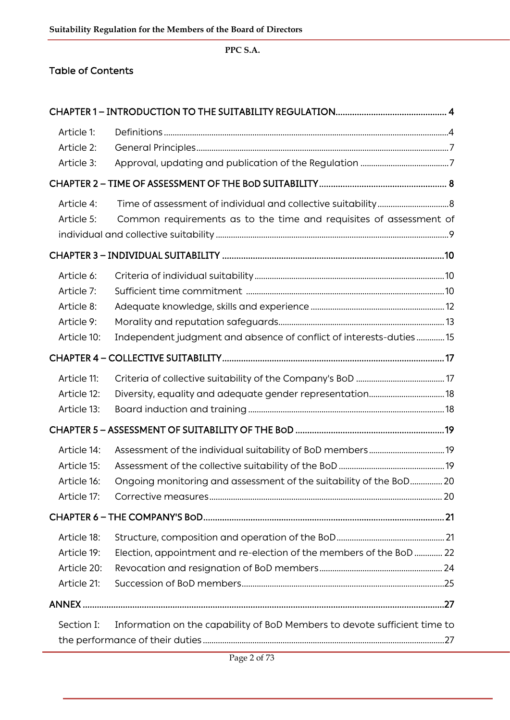## Table of Contents

| Article 1:  |                                                                           |  |
|-------------|---------------------------------------------------------------------------|--|
| Article 2:  |                                                                           |  |
| Article 3:  |                                                                           |  |
|             |                                                                           |  |
| Article 4:  |                                                                           |  |
| Article 5:  | Common requirements as to the time and requisites of assessment of        |  |
|             |                                                                           |  |
|             |                                                                           |  |
| Article 6:  |                                                                           |  |
| Article 7:  |                                                                           |  |
| Article 8:  |                                                                           |  |
| Article 9:  |                                                                           |  |
| Article 10: | Independent judgment and absence of conflict of interests-duties 15       |  |
|             |                                                                           |  |
| Article 11: |                                                                           |  |
| Article 12: |                                                                           |  |
| Article 13: |                                                                           |  |
|             |                                                                           |  |
| Article 14: |                                                                           |  |
| Article 15: |                                                                           |  |
| Article 16: | Ongoing monitoring and assessment of the suitability of the BoD 20        |  |
| Article 17: |                                                                           |  |
|             |                                                                           |  |
| Article 18: |                                                                           |  |
| Article 19: | Election, appointment and re-election of the members of the BoD 22        |  |
| Article 20: |                                                                           |  |
| Article 21: |                                                                           |  |
|             |                                                                           |  |
| Section I:  | Information on the capability of BoD Members to devote sufficient time to |  |
|             |                                                                           |  |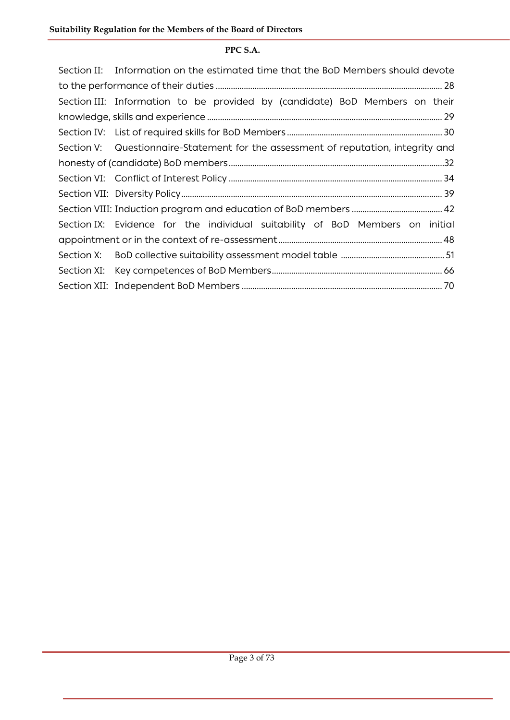|  | Section II: Information on the estimated time that the BoD Members should devote   |  |  |  |
|--|------------------------------------------------------------------------------------|--|--|--|
|  |                                                                                    |  |  |  |
|  | Section III: Information to be provided by (candidate) BoD Members on their        |  |  |  |
|  |                                                                                    |  |  |  |
|  |                                                                                    |  |  |  |
|  | Section V: Questionnaire-Statement for the assessment of reputation, integrity and |  |  |  |
|  |                                                                                    |  |  |  |
|  |                                                                                    |  |  |  |
|  |                                                                                    |  |  |  |
|  |                                                                                    |  |  |  |
|  | Section IX: Evidence for the individual suitability of BoD Members on initial      |  |  |  |
|  |                                                                                    |  |  |  |
|  |                                                                                    |  |  |  |
|  |                                                                                    |  |  |  |
|  |                                                                                    |  |  |  |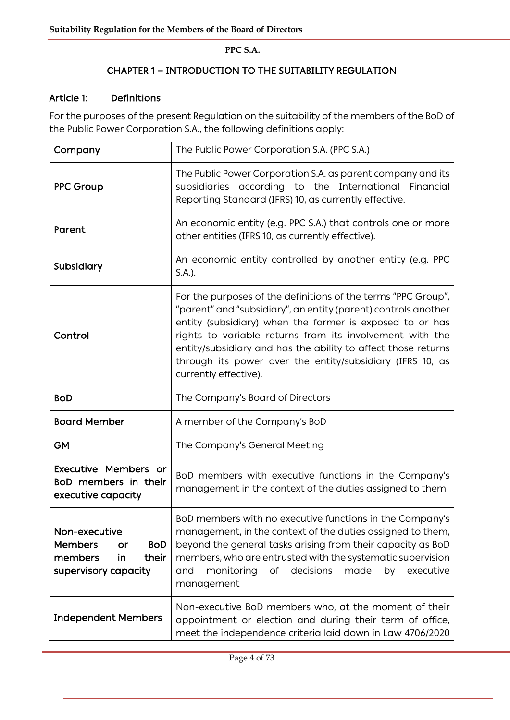# CHAPTER 1 **―** INTRODUCTION TO THE SUITABILITY REGULATION

### Article 1: Definitions

For the purposes of the present Regulation on the suitability of the members of the BoD of the Public Power Corporation S.A., the following definitions apply:

| Company                                                                                               | The Public Power Corporation S.A. (PPC S.A.)                                                                                                                                                                                                                                                                                                                                                                   |
|-------------------------------------------------------------------------------------------------------|----------------------------------------------------------------------------------------------------------------------------------------------------------------------------------------------------------------------------------------------------------------------------------------------------------------------------------------------------------------------------------------------------------------|
| <b>PPC Group</b>                                                                                      | The Public Power Corporation S.A. as parent company and its<br>subsidiaries according to the International Financial<br>Reporting Standard (IFRS) 10, as currently effective.                                                                                                                                                                                                                                  |
| Parent                                                                                                | An economic entity (e.g. PPC S.A.) that controls one or more<br>other entities (IFRS 10, as currently effective).                                                                                                                                                                                                                                                                                              |
| Subsidiary                                                                                            | An economic entity controlled by another entity (e.g. PPC<br>S.A.).                                                                                                                                                                                                                                                                                                                                            |
| Control                                                                                               | For the purposes of the definitions of the terms "PPC Group",<br>"parent" and "subsidiary", an entity (parent) controls another<br>entity (subsidiary) when the former is exposed to or has<br>rights to variable returns from its involvement with the<br>entity/subsidiary and has the ability to affect those returns<br>through its power over the entity/subsidiary (IFRS 10, as<br>currently effective). |
| <b>BoD</b>                                                                                            | The Company's Board of Directors                                                                                                                                                                                                                                                                                                                                                                               |
| <b>Board Member</b>                                                                                   | A member of the Company's BoD                                                                                                                                                                                                                                                                                                                                                                                  |
| <b>GM</b>                                                                                             | The Company's General Meeting                                                                                                                                                                                                                                                                                                                                                                                  |
| Executive Members or<br>BoD members in their<br>executive capacity                                    | BoD members with executive functions in the Company's<br>management in the context of the duties assigned to them                                                                                                                                                                                                                                                                                              |
| Non-executive<br><b>Members</b><br><b>BoD</b><br>or<br>members<br>in<br>their<br>supervisory capacity | BoD members with no executive functions in the Company's<br>management, in the context of the duties assigned to them,<br>beyond the general tasks arising from their capacity as BoD<br>members, who are entrusted with the systematic supervision<br>monitoring<br>of decisions<br>made<br>and<br>executive<br>by<br>management                                                                              |
| <b>Independent Members</b>                                                                            | Non-executive BoD members who, at the moment of their<br>appointment or election and during their term of office,<br>meet the independence criteria laid down in Law 4706/2020                                                                                                                                                                                                                                 |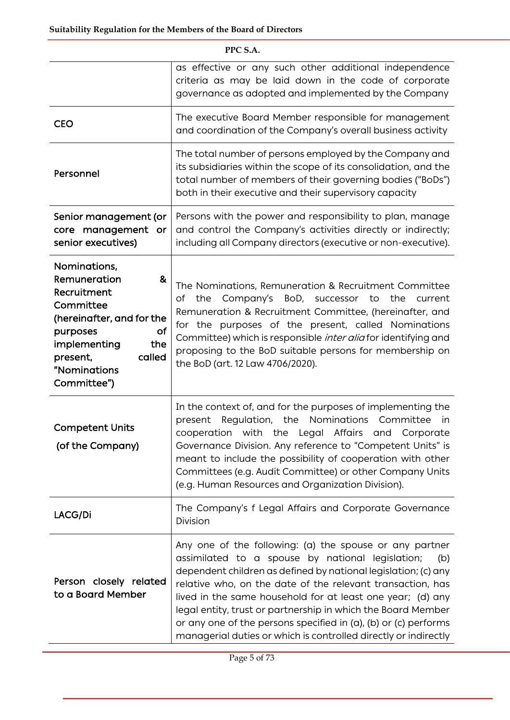| PPC S.A.                                                                                                                                                                                 |                                                                                                                                                                                                                                                                                                                                                                                                                                                                                                                        |  |  |  |
|------------------------------------------------------------------------------------------------------------------------------------------------------------------------------------------|------------------------------------------------------------------------------------------------------------------------------------------------------------------------------------------------------------------------------------------------------------------------------------------------------------------------------------------------------------------------------------------------------------------------------------------------------------------------------------------------------------------------|--|--|--|
|                                                                                                                                                                                          | as effective or any such other additional independence<br>criteria as may be laid down in the code of corporate<br>governance as adopted and implemented by the Company                                                                                                                                                                                                                                                                                                                                                |  |  |  |
| <b>CEO</b>                                                                                                                                                                               | The executive Board Member responsible for management<br>and coordination of the Company's overall business activity                                                                                                                                                                                                                                                                                                                                                                                                   |  |  |  |
| Personnel                                                                                                                                                                                | The total number of persons employed by the Company and<br>its subsidiaries within the scope of its consolidation, and the<br>total number of members of their governing bodies ("BoDs")<br>both in their executive and their supervisory capacity                                                                                                                                                                                                                                                                     |  |  |  |
| Senior management (or<br>core management or<br>senior executives)                                                                                                                        | Persons with the power and responsibility to plan, manage<br>and control the Company's activities directly or indirectly;<br>including all Company directors (executive or non-executive).                                                                                                                                                                                                                                                                                                                             |  |  |  |
| Nominations,<br>Remuneration<br>&<br>Recruitment<br>Committee<br>(hereinafter, and for the<br>of<br>purposes<br>implementing<br>the<br>called<br>present,<br>"Nominations<br>Committee") | The Nominations, Remuneration & Recruitment Committee<br>of the Company's BoD, successor to the current<br>Remuneration & Recruitment Committee, (hereinafter, and<br>for the purposes of the present, called Nominations<br>Committee) which is responsible <i>inter alia</i> for identifying and<br>proposing to the BoD suitable persons for membership on<br>the BoD (art. 12 Law 4706/2020).                                                                                                                      |  |  |  |
| <b>Competent Units</b><br>(of the Company)                                                                                                                                               | In the context of, and for the purposes of implementing the<br>present Regulation, the Nominations Committee<br>in<br>cooperation with the Legal Affairs and Corporate<br>Governance Division. Any reference to "Competent Units" is<br>meant to include the possibility of cooperation with other<br>Committees (e.g. Audit Committee) or other Company Units<br>(e.g. Human Resources and Organization Division).                                                                                                    |  |  |  |
| LACG/Di                                                                                                                                                                                  | The Company's f Legal Affairs and Corporate Governance<br>Division                                                                                                                                                                                                                                                                                                                                                                                                                                                     |  |  |  |
| Person closely related<br>to a Board Member                                                                                                                                              | Any one of the following: (a) the spouse or any partner<br>assimilated to a spouse by national legislation;<br>(b)<br>dependent children as defined by national legislation; (c) any<br>relative who, on the date of the relevant transaction, has<br>lived in the same household for at least one year; (d) any<br>legal entity, trust or partnership in which the Board Member<br>or any one of the persons specified in (a), (b) or (c) performs<br>managerial duties or which is controlled directly or indirectly |  |  |  |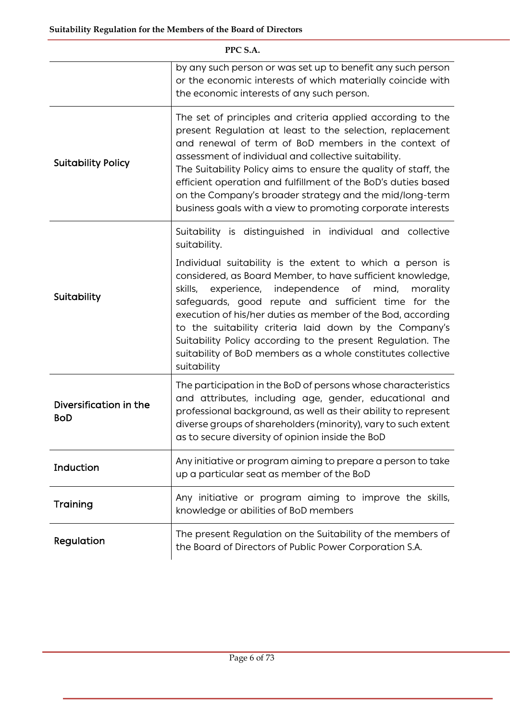| PPC S.A.                             |                                                                                                                                                                                                                                                                                                                                                                                                                                                                                                                   |  |  |  |
|--------------------------------------|-------------------------------------------------------------------------------------------------------------------------------------------------------------------------------------------------------------------------------------------------------------------------------------------------------------------------------------------------------------------------------------------------------------------------------------------------------------------------------------------------------------------|--|--|--|
|                                      | by any such person or was set up to benefit any such person<br>or the economic interests of which materially coincide with<br>the economic interests of any such person.                                                                                                                                                                                                                                                                                                                                          |  |  |  |
| <b>Suitability Policy</b>            | The set of principles and criteria applied according to the<br>present Regulation at least to the selection, replacement<br>and renewal of term of BoD members in the context of<br>assessment of individual and collective suitability.<br>The Suitability Policy aims to ensure the quality of staff, the<br>efficient operation and fulfillment of the BoD's duties based<br>on the Company's broader strategy and the mid/long-term<br>business goals with a view to promoting corporate interests            |  |  |  |
|                                      | Suitability is distinguished in individual and collective<br>suitability.                                                                                                                                                                                                                                                                                                                                                                                                                                         |  |  |  |
| Suitability                          | Individual suitability is the extent to which a person is<br>considered, as Board Member, to have sufficient knowledge,<br>experience, independence of mind,<br>skills,<br>morality<br>safeguards, good repute and sufficient time for the<br>execution of his/her duties as member of the Bod, according<br>to the suitability criteria laid down by the Company's<br>Suitability Policy according to the present Regulation. The<br>suitability of BoD members as a whole constitutes collective<br>suitability |  |  |  |
| Diversification in the<br><b>BoD</b> | The participation in the BoD of persons whose characteristics<br>and attributes, including age, gender, educational and<br>professional background, as well as their ability to represent<br>diverse groups of shareholders (minority), vary to such extent<br>as to secure diversity of opinion inside the BoD                                                                                                                                                                                                   |  |  |  |
| Induction                            | Any initiative or program aiming to prepare a person to take<br>up a particular seat as member of the BoD                                                                                                                                                                                                                                                                                                                                                                                                         |  |  |  |
| Training                             | Any initiative or program aiming to improve the skills,<br>knowledge or abilities of BoD members                                                                                                                                                                                                                                                                                                                                                                                                                  |  |  |  |
| Regulation                           | The present Regulation on the Suitability of the members of<br>the Board of Directors of Public Power Corporation S.A.                                                                                                                                                                                                                                                                                                                                                                                            |  |  |  |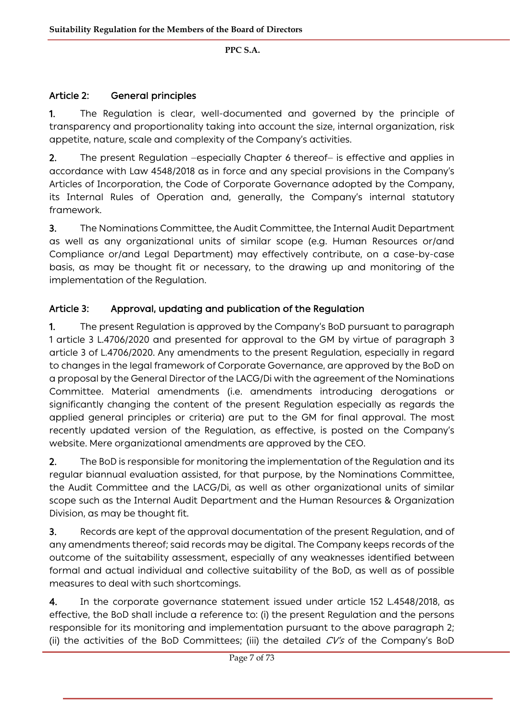# Article 2: General principles

1. The Regulation is clear, well-documented and governed by the principle of transparency and proportionality taking into account the size, internal organization, risk appetite, nature, scale and complexity of the Company's activities.

2. The present Regulation –especially Chapter 6 thereof– is effective and applies in accordance with Law 4548/2018 as in force and any special provisions in the Company's Articles of Incorporation, the Code of Corporate Governance adopted by the Company, its Internal Rules of Operation and, generally, the Company's internal statutory framework.

3. The Nominations Committee, the Audit Committee, the Internal Audit Department as well as any organizational units of similar scope (e.g. Human Resources or/and Compliance or/and Legal Department) may effectively contribute, on a case-by-case basis, as may be thought fit or necessary, to the drawing up and monitoring of the implementation of the Regulation.

# Article 3: Approval, updating and publication of the Regulation

1. The present Regulation is approved by the Company's BoD pursuant to paragraph 1 article 3 L.4706/2020 and presented for approval to the GM by virtue of paragraph 3 article 3 of L.4706/2020. Any amendments to the present Regulation, especially in regard to changes in the legal framework of Corporate Governance, are approved by the BoD on a proposal by the General Director of the LACG/Di with the agreement of the Nominations Committee. Material amendments (i.e. amendments introducing derogations or significantly changing the content of the present Regulation especially as regards the applied general principles or criteria) are put to the GM for final approval. The most recently updated version of the Regulation, as effective, is posted on the Company's website. Mere organizational amendments are approved by the CEO.

2. The BoD is responsible for monitoring the implementation of the Regulation and its regular biannual evaluation assisted, for that purpose, by the Nominations Committee, the Audit Committee and the LACG/Di, as well as other organizational units of similar scope such as the Internal Audit Department and the Human Resources & Organization Division, as may be thought fit.

3. Records are kept of the approval documentation of the present Regulation, and of any amendments thereof; said records may be digital. The Company keeps records of the outcome of the suitability assessment, especially of any weaknesses identified between formal and actual individual and collective suitability of the BoD, as well as of possible measures to deal with such shortcomings.

4. In the corporate governance statement issued under article 152 L.4548/2018, as effective, the BoD shall include a reference to: (i) the present Regulation and the persons responsible for its monitoring and implementation pursuant to the above paragraph 2; (ii) the activities of the BoD Committees; (iii) the detailed  $CV's$  of the Company's BoD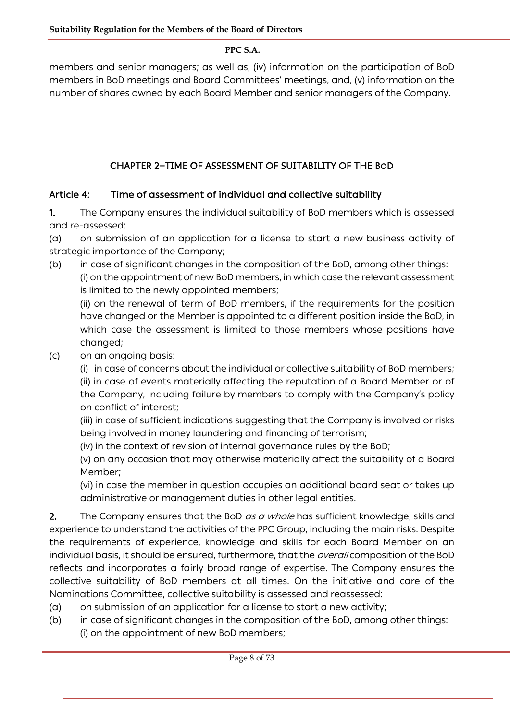members and senior managers; as well as, (iv) information on the participation of BoD members in BoD meetings and Board Committees' meetings, and, (v) information on the number of shares owned by each Board Member and senior managers of the Company.

# CHAPTER 2**―**TIME OF ASSESSMENT OF SUITABILITY OF THE BOD

# Article 4: Time of assessment of individual and collective suitability

1. The Company ensures the individual suitability of BoD members which is assessed and re-assessed:

(a) on submission of an application for a license to start a new business activity of strategic importance of the Company;

(b) in case of significant changes in the composition of the BoD, among other things: (i) on the appointment of new BoD members, in which case the relevant assessment is limited to the newly appointed members;

(ii) on the renewal of term of BoD members, if the requirements for the position have changed or the Member is appointed to a different position inside the BoD, in which case the assessment is limited to those members whose positions have changed;

(c) on an ongoing basis:

(i) in case of concerns about the individual or collective suitability of BoD members; (ii) in case of events materially affecting the reputation of a Board Member or of the Company, including failure by members to comply with the Company's policy on conflict of interest;

(iii) in case of sufficient indications suggesting that the Company is involved or risks being involved in money laundering and financing of terrorism;

(iv) in the context of revision of internal governance rules by the BoD;

(v) on any occasion that may otherwise materially affect the suitability of a Board Member;

(vi) in case the member in question occupies an additional board seat or takes up administrative or management duties in other legal entities.

2. The Company ensures that the BoD as a whole has sufficient knowledge, skills and experience to understand the activities of the PPC Group, including the main risks. Despite the requirements of experience, knowledge and skills for each Board Member on an individual basis, it should be ensured, furthermore, that the *overall* composition of the BoD reflects and incorporates a fairly broad range of expertise. The Company ensures the collective suitability of BoD members at all times. On the initiative and care of the Nominations Committee, collective suitability is assessed and reassessed:

- (a) on submission of an application for a license to start a new activity;
- (b) in case of significant changes in the composition of the BoD, among other things: (i) on the appointment of new BoD members;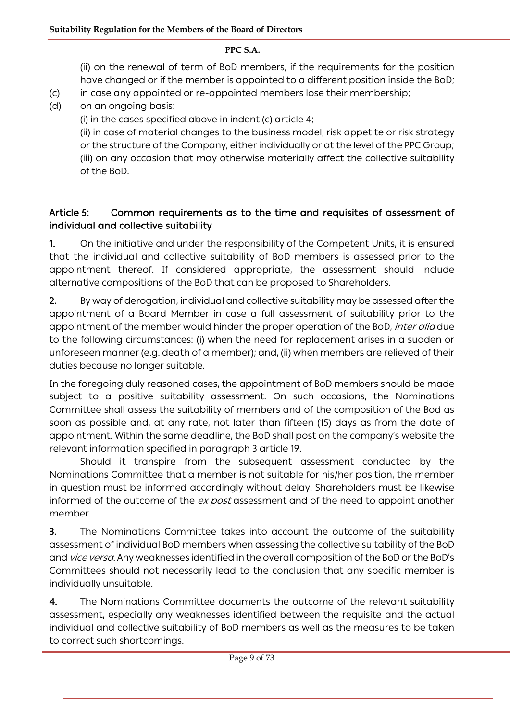(ii) on the renewal of term of BoD members, if the requirements for the position have changed or if the member is appointed to a different position inside the BoD;

- (c) in case any appointed or re-appointed members lose their membership;
- (d) on an ongoing basis:
	- (i) in the cases specified above in indent (c) article 4;

(ii) in case of material changes to the business model, risk appetite or risk strategy or the structure of the Company, either individually or at the level of the PPC Group; (iii) on any occasion that may otherwise materially affect the collective suitability of the BoD.

## Article 5: Common requirements as to the time and requisites of assessment of individual and collective suitability

1. On the initiative and under the responsibility of the Competent Units, it is ensured that the individual and collective suitability of BoD members is assessed prior to the appointment thereof. If considered appropriate, the assessment should include alternative compositions of the BoD that can be proposed to Shareholders.

2. By way of derogation, individual and collective suitability may be assessed after the appointment of a Board Member in case a full assessment of suitability prior to the appointment of the member would hinder the proper operation of the BoD, *inter alia* due to the following circumstances: (i) when the need for replacement arises in a sudden or unforeseen manner (e.g. death of a member); and, (ii) when members are relieved of their duties because no longer suitable.

In the foregoing duly reasoned cases, the appointment of BoD members should be made subject to a positive suitability assessment. On such occasions, the Nominations Committee shall assess the suitability of members and of the composition of the Bod as soon as possible and, at any rate, not later than fifteen (15) days as from the date of appointment. Within the same deadline, the BoD shall post on the company's website the relevant information specified in paragraph 3 article 19.

Should it transpire from the subsequent assessment conducted by the Nominations Committee that a member is not suitable for his/her position, the member in question must be informed accordingly without delay. Shareholders must be likewise informed of the outcome of the *ex post* assessment and of the need to appoint another member.

3. The Nominations Committee takes into account the outcome of the suitability assessment of individual BoD members when assessing the collective suitability of the BoD and vice versa. Any weaknesses identified in the overall composition of the BoD or the BoD's Committees should not necessarily lead to the conclusion that any specific member is individually unsuitable.

4. The Nominations Committee documents the outcome of the relevant suitability assessment, especially any weaknesses identified between the requisite and the actual individual and collective suitability of BoD members as well as the measures to be taken to correct such shortcomings.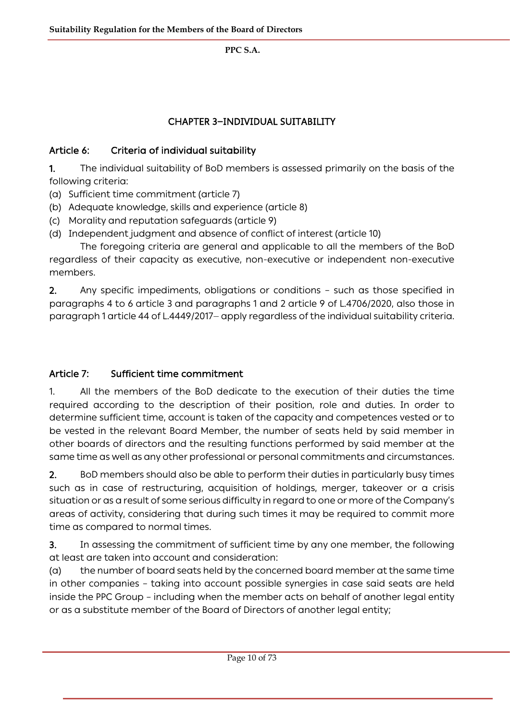# CHAPTER 3**―**INDIVIDUAL SUITABILITY

### Article 6: Criteria of individual suitability

1. The individual suitability of BoD members is assessed primarily on the basis of the following criteria:

- (a) Sufficient time commitment (article 7)
- (b) Adequate knowledge, skills and experience (article 8)
- (c) Morality and reputation safeguards (article 9)
- (d) Independent judgment and absence of conflict of interest (article 10)

The foregoing criteria are general and applicable to all the members of the BoD regardless of their capacity as executive, non-executive or independent non-executive members.

2. Any specific impediments, obligations or conditions – such as those specified in paragraphs 4 to 6 article 3 and paragraphs 1 and 2 article 9 of L.4706/2020, also those in paragraph 1 article 44 of L.4449/2017― apply regardless of the individual suitability criteria.

### Article 7: Sufficient time commitment

1. All the members of the BoD dedicate to the execution of their duties the time required according to the description of their position, role and duties. In order to determine sufficient time, account is taken of the capacity and competences vested or to be vested in the relevant Board Member, the number of seats held by said member in other boards of directors and the resulting functions performed by said member at the same time as well as any other professional or personal commitments and circumstances.

2. BoD members should also be able to perform their duties in particularly busy times such as in case of restructuring, acquisition of holdings, merger, takeover or a crisis situation or as a result of some serious difficulty in regard to one or more of the Company's areas of activity, considering that during such times it may be required to commit more time as compared to normal times.

3. In assessing the commitment of sufficient time by any one member, the following at least are taken into account and consideration:

(a) the number of board seats held by the concerned board member at the same time in other companies – taking into account possible synergies in case said seats are held inside the PPC Group – including when the member acts on behalf of another legal entity or as a substitute member of the Board of Directors of another legal entity;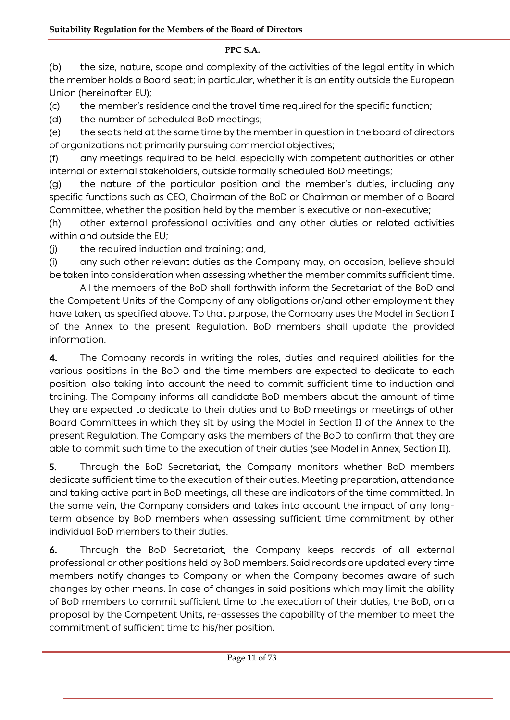(b) the size, nature, scope and complexity of the activities of the legal entity in which the member holds a Board seat; in particular, whether it is an entity outside the European Union (hereinafter EU);

(c) the member's residence and the travel time required for the specific function;

(d) the number of scheduled BoD meetings;

(e) the seats held at the same time by the member in question in the board of directors of organizations not primarily pursuing commercial objectives;

(f) any meetings required to be held, especially with competent authorities or other internal or external stakeholders, outside formally scheduled BoD meetings;

(g) the nature of the particular position and the member's duties, including any specific functions such as CEO, Chairman of the BoD or Chairman or member of a Board Committee, whether the position held by the member is executive or non-executive;

(h) other external professional activities and any other duties or related activities within and outside the EU;

(j) the required induction and training; and,

(i) any such other relevant duties as the Company may, on occasion, believe should be taken into consideration when assessing whether the member commits sufficient time.

All the members of the BoD shall forthwith inform the Secretariat of the BoD and the Competent Units of the Company of any obligations or/and other employment they have taken, as specified above. To that purpose, the Company uses the Model in Section I of the Annex to the present Regulation. BoD members shall update the provided information.

4. The Company records in writing the roles, duties and required abilities for the various positions in the BoD and the time members are expected to dedicate to each position, also taking into account the need to commit sufficient time to induction and training. The Company informs all candidate BoD members about the amount of time they are expected to dedicate to their duties and to BoD meetings or meetings of other Board Committees in which they sit by using the Model in Section II of the Annex to the present Regulation. The Company asks the members of the BoD to confirm that they are able to commit such time to the execution of their duties (see Model in Annex, Section II).

5. Through the BoD Secretariat, the Company monitors whether BoD members dedicate sufficient time to the execution of their duties. Meeting preparation, attendance and taking active part in BoD meetings, all these are indicators of the time committed. In the same vein, the Company considers and takes into account the impact of any longterm absence by BoD members when assessing sufficient time commitment by other individual BoD members to their duties.

6. Through the BoD Secretariat, the Company keeps records of all external professional or other positions held by BoD members. Said records are updated every time members notify changes to Company or when the Company becomes aware of such changes by other means. In case of changes in said positions which may limit the ability of BoD members to commit sufficient time to the execution of their duties, the BoD, on a proposal by the Competent Units, re-assesses the capability of the member to meet the commitment of sufficient time to his/her position.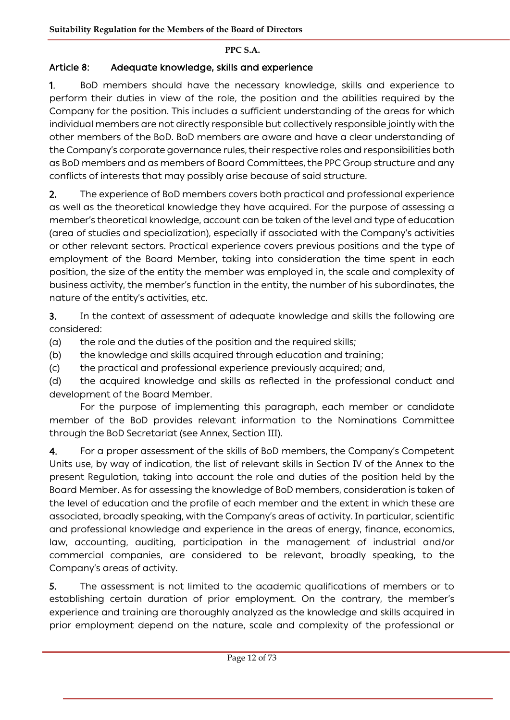# Article 8: Adequate knowledge, skills and experience

1. BoD members should have the necessary knowledge, skills and experience to perform their duties in view of the role, the position and the abilities required by the Company for the position. This includes a sufficient understanding of the areas for which individual members are not directly responsible but collectively responsible jointly with the other members of the BoD. BoD members are aware and have a clear understanding of the Company's corporate governance rules, their respective roles and responsibilities both as BoD members and as members of Board Committees, the PPC Group structure and any conflicts of interests that may possibly arise because of said structure.

2. The experience of BoD members covers both practical and professional experience as well as the theoretical knowledge they have acquired. For the purpose of assessing a member's theoretical knowledge, account can be taken of the level and type of education (area of studies and specialization), especially if associated with the Company's activities or other relevant sectors. Practical experience covers previous positions and the type of employment of the Board Member, taking into consideration the time spent in each position, the size of the entity the member was employed in, the scale and complexity of business activity, the member's function in the entity, the number of his subordinates, the nature of the entity's activities, etc.

3. In the context of assessment of adequate knowledge and skills the following are considered:

(a) the role and the duties of the position and the required skills;

(b) the knowledge and skills acquired through education and training;

(c) the practical and professional experience previously acquired; and,

(d) the acquired knowledge and skills as reflected in the professional conduct and development of the Board Member.

For the purpose of implementing this paragraph, each member or candidate member of the BoD provides relevant information to the Nominations Committee through the BoD Secretariat (see Annex, Section ΙΙΙ).

4. For a proper assessment of the skills of BoD members, the Company's Competent Units use, by way of indication, the list of relevant skills in Section IV of the Annex to the present Regulation, taking into account the role and duties of the position held by the Board Member. As for assessing the knowledge of BoD members, consideration is taken of the level of education and the profile of each member and the extent in which these are associated, broadly speaking, with the Company's areas of activity. In particular, scientific and professional knowledge and experience in the areas of energy, finance, economics, law, accounting, auditing, participation in the management of industrial and/or commercial companies, are considered to be relevant, broadly speaking, to the Company's areas of activity.

5. The assessment is not limited to the academic qualifications of members or to establishing certain duration of prior employment. On the contrary, the member's experience and training are thoroughly analyzed as the knowledge and skills acquired in prior employment depend on the nature, scale and complexity of the professional or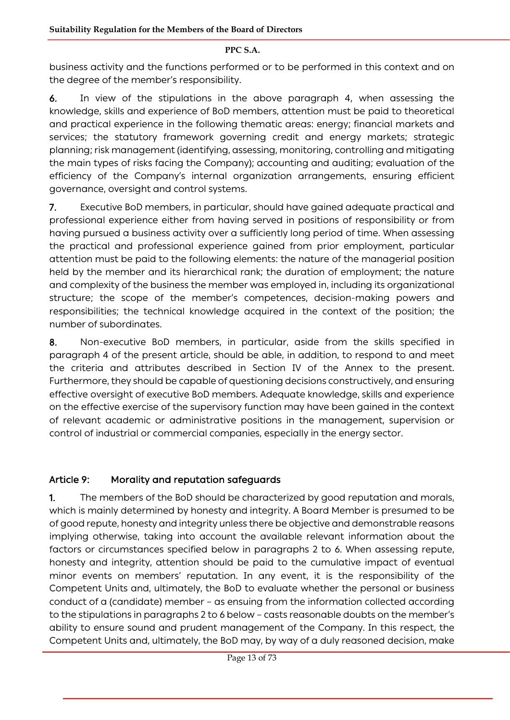business activity and the functions performed or to be performed in this context and on the degree of the member's responsibility.

6. In view of the stipulations in the above paragraph 4, when assessing the knowledge, skills and experience of BoD members, attention must be paid to theoretical and practical experience in the following thematic areas: energy; financial markets and services; the statutory framework governing credit and energy markets; strategic planning; risk management (identifying, assessing, monitoring, controlling and mitigating the main types of risks facing the Company); accounting and auditing; evaluation of the efficiency of the Company's internal organization arrangements, ensuring efficient governance, oversight and control systems.

7. Executive BoD members, in particular, should have gained adequate practical and professional experience either from having served in positions of responsibility or from having pursued a business activity over a sufficiently long period of time. When assessing the practical and professional experience gained from prior employment, particular attention must be paid to the following elements: the nature of the managerial position held by the member and its hierarchical rank; the duration of employment; the nature and complexity of the business the member was employed in, including its organizational structure; the scope of the member's competences, decision-making powers and responsibilities; the technical knowledge acquired in the context of the position; the number of subordinates.

8. Non-executive BoD members, in particular, aside from the skills specified in paragraph 4 of the present article, should be able, in addition, to respond to and meet the criteria and attributes described in Section IV of the Annex to the present. Furthermore, they should be capable of questioning decisions constructively, and ensuring effective oversight of executive BoD members. Adequate knowledge, skills and experience on the effective exercise of the supervisory function may have been gained in the context of relevant academic or administrative positions in the management, supervision or control of industrial or commercial companies, especially in the energy sector.

### Article 9: Morality and reputation safeguards

1. The members of the BoD should be characterized by good reputation and morals, which is mainly determined by honesty and integrity. A Board Member is presumed to be of good repute, honesty and integrity unless there be objective and demonstrable reasons implying otherwise, taking into account the available relevant information about the factors or circumstances specified below in paragraphs 2 to 6. When assessing repute, honesty and integrity, attention should be paid to the cumulative impact of eventual minor events on members' reputation. In any event, it is the responsibility of the Competent Units and, ultimately, the BoD to evaluate whether the personal or business conduct of a (candidate) member – as ensuing from the information collected according to the stipulations in paragraphs 2 to 6 below – casts reasonable doubts on the member's ability to ensure sound and prudent management of the Company. In this respect, the Competent Units and, ultimately, the BoD may, by way of a duly reasoned decision, make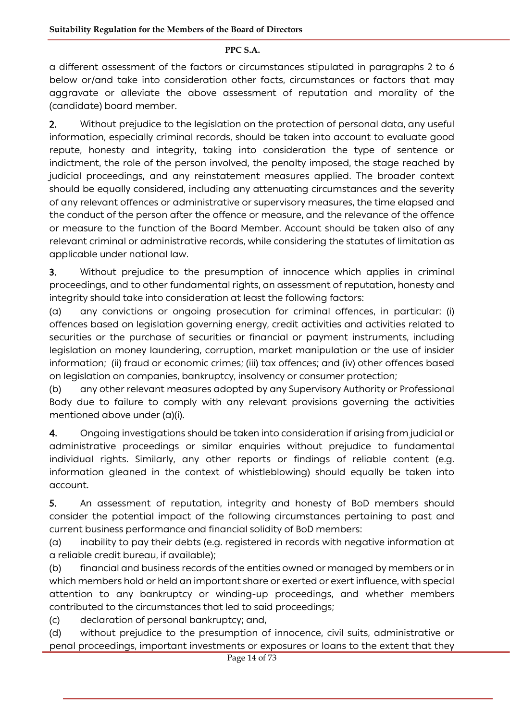a different assessment of the factors or circumstances stipulated in paragraphs 2 to 6 below or/and take into consideration other facts, circumstances or factors that may aggravate or alleviate the above assessment of reputation and morality of the (candidate) board member.

2. Without prejudice to the legislation on the protection of personal data, any useful information, especially criminal records, should be taken into account to evaluate good repute, honesty and integrity, taking into consideration the type of sentence or indictment, the role of the person involved, the penalty imposed, the stage reached by judicial proceedings, and any reinstatement measures applied. The broader context should be equally considered, including any attenuating circumstances and the severity of any relevant offences or administrative or supervisory measures, the time elapsed and the conduct of the person after the offence or measure, and the relevance of the offence or measure to the function of the Board Member. Account should be taken also of any relevant criminal or administrative records, while considering the statutes of limitation as applicable under national law.

3. Without prejudice to the presumption of innocence which applies in criminal proceedings, and to other fundamental rights, an assessment of reputation, honesty and integrity should take into consideration at least the following factors:

(a) any convictions or ongoing prosecution for criminal offences, in particular: (i) offences based on legislation governing energy, credit activities and activities related to securities or the purchase of securities or financial or payment instruments, including legislation on money laundering, corruption, market manipulation or the use of insider information; (ii) fraud or economic crimes; (iii) tax offences; and (iv) other offences based on legislation on companies, bankruptcy, insolvency or consumer protection;

(b) any other relevant measures adopted by any Supervisory Authority or Professional Body due to failure to comply with any relevant provisions governing the activities mentioned above under (a)(i).

4. Ongoing investigations should be taken into consideration if arising from judicial or administrative proceedings or similar enquiries without prejudice to fundamental individual rights. Similarly, any other reports or findings of reliable content (e.g. information gleaned in the context of whistleblowing) should equally be taken into account.

5. An assessment of reputation, integrity and honesty of BoD members should consider the potential impact of the following circumstances pertaining to past and current business performance and financial solidity of BoD members:

(a) inability to pay their debts (e.g. registered in records with negative information at a reliable credit bureau, if available);

(b) financial and business records of the entities owned or managed by members or in which members hold or held an important share or exerted or exert influence, with special attention to any bankruptcy or winding-up proceedings, and whether members contributed to the circumstances that led to said proceedings;

(c) declaration of personal bankruptcy; and,

(d) without prejudice to the presumption of innocence, civil suits, administrative or penal proceedings, important investments or exposures or loans to the extent that they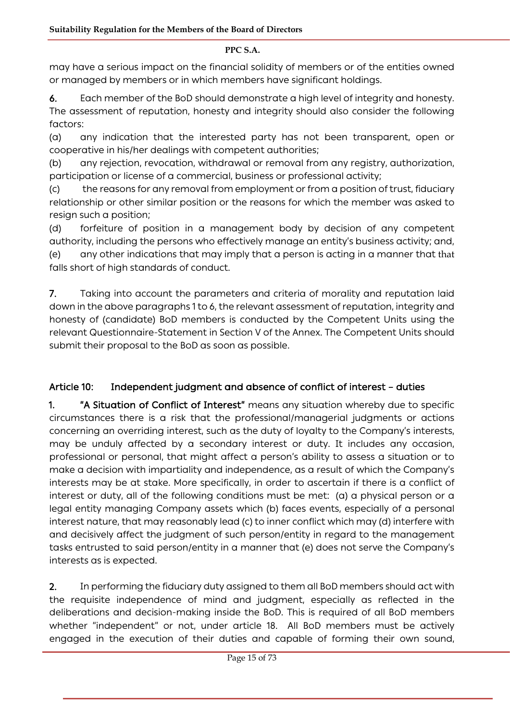may have a serious impact on the financial solidity of members or of the entities owned or managed by members or in which members have significant holdings.

6. Each member of the BoD should demonstrate a high level of integrity and honesty.

The assessment of reputation, honesty and integrity should also consider the following factors:

(a) any indication that the interested party has not been transparent, open or cooperative in his/her dealings with competent authorities;

(b) any rejection, revocation, withdrawal or removal from any registry, authorization, participation or license of a commercial, business or professional activity;

(c) the reasons for any removal from employment or from a position of trust, fiduciary relationship or other similar position or the reasons for which the member was asked to resign such a position;

(d) forfeiture of position in a management body by decision of any competent authority, including the persons who effectively manage an entity's business activity; and, (e) any other indications that may imply that a person is acting in a manner that that falls short of high standards of conduct.

7. Taking into account the parameters and criteria of morality and reputation laid down in the above paragraphs 1 to 6, the relevant assessment of reputation, integrity and honesty of (candidate) BoD members is conducted by the Competent Units using the relevant Questionnaire-Statement in Section V of the Annex. The Competent Units should submit their proposal to the BoD as soon as possible.

# Article 10: Independent judgment and absence of conflict of interest – duties

1. "A Situation of Conflict of Interest" means any situation whereby due to specific circumstances there is a risk that the professional/managerial judgments or actions concerning an overriding interest, such as the duty of loyalty to the Company's interests, may be unduly affected by a secondary interest or duty. It includes any occasion, professional or personal, that might affect a person's ability to assess a situation or to make a decision with impartiality and independence, as a result of which the Company's interests may be at stake. More specifically, in order to ascertain if there is a conflict of interest or duty, all of the following conditions must be met: (a) a physical person or a legal entity managing Company assets which (b) faces events, especially of a personal interest nature, that may reasonably lead (c) to inner conflict which may (d) interfere with and decisively affect the judgment of such person/entity in regard to the management tasks entrusted to said person/entity in a manner that (e) does not serve the Company's interests as is expected.

2. In performing the fiduciary duty assigned to them all BoD members should act with the requisite independence of mind and judgment, especially as reflected in the deliberations and decision-making inside the BoD. This is required of all BoD members whether "independent" or not, under article 18. All BoD members must be actively engaged in the execution of their duties and capable of forming their own sound,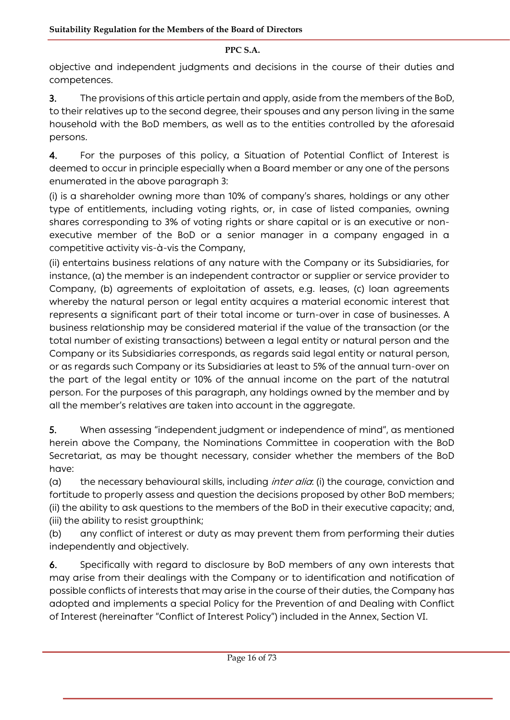objective and independent judgments and decisions in the course of their duties and competences.

3. The provisions of this article pertain and apply, aside from the members of the BoD, to their relatives up to the second degree, their spouses and any person living in the same household with the BoD members, as well as to the entities controlled by the aforesaid persons.

4. For the purposes of this policy, a Situation of Potential Conflict of Interest is deemed to occur in principle especially when a Board member or any one of the persons enumerated in the above paragraph 3:

(i) is a shareholder owning more than 10% of company's shares, holdings or any other type of entitlements, including voting rights, or, in case of listed companies, owning shares corresponding to 3% of voting rights or share capital or is an executive or nonexecutive member of the BoD or a senior manager in a company engaged in a competitive activity vis-à-vis the Company,

(ii) entertains business relations of any nature with the Company or its Subsidiaries, for instance, (a) the member is an independent contractor or supplier or service provider to Company, (b) agreements of exploitation of assets, e.g. leases, (c) loan agreements whereby the natural person or legal entity acquires a material economic interest that represents a significant part of their total income or turn-over in case of businesses. A business relationship may be considered material if the value of the transaction (or the total number of existing transactions) between a legal entity or natural person and the Company or its Subsidiaries corresponds, as regards said legal entity or natural person, or as regards such Company or its Subsidiaries at least to 5% of the annual turn-over on the part of the legal entity or 10% of the annual income on the part of the natutral person. For the purposes of this paragraph, any holdings owned by the member and by all the member's relatives are taken into account in the aggregate.

5. When assessing "independent judgment or independence of mind", as mentioned herein above the Company, the Nominations Committee in cooperation with the BoD Secretariat, as may be thought necessary, consider whether the members of the BoD have:

(a) the necessary behavioural skills, including *inter alia*: (i) the courage, conviction and fortitude to properly assess and question the decisions proposed by other BoD members; (ii) the ability to ask questions to the members of the BoD in their executive capacity; and, (iii) the ability to resist groupthink;

(b) any conflict of interest or duty as may prevent them from performing their duties independently and objectively.

6. Specifically with regard to disclosure by BoD members of any own interests that may arise from their dealings with the Company or to identification and notification of possible conflicts of interests that may arise in the course of their duties, the Company has adopted and implements a special Policy for the Prevention of and Dealing with Conflict of Interest (hereinafter "Conflict of Interest Policy") included in the Annex, Section VI.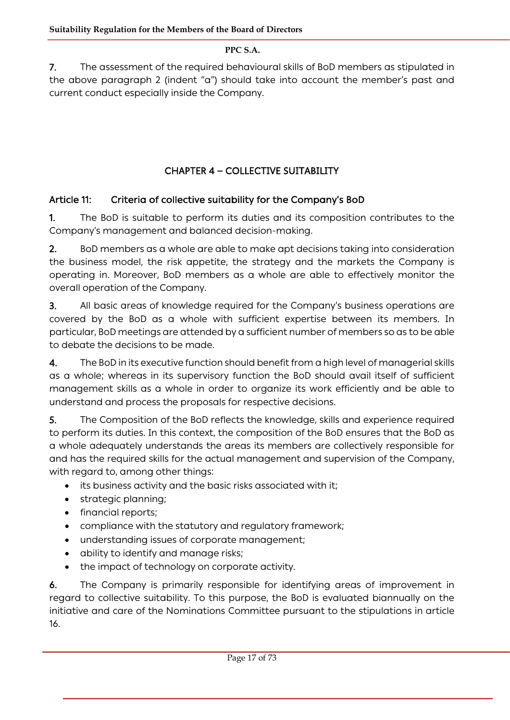7. The assessment of the required behavioural skills of BoD members as stipulated in the above paragraph 2 (indent "a") should take into account the member's past and current conduct especially inside the Company.

# CHAPTER 4 **―** COLLECTIVE SUITABILITY

# Article 11: Criteria of collective suitability for the Company's BoD

1. The BoD is suitable to perform its duties and its composition contributes to the Company's management and balanced decision-making.

2. BoD members as a whole are able to make apt decisions taking into consideration the business model, the risk appetite, the strategy and the markets the Company is operating in. Moreover, BoD members as a whole are able to effectively monitor the overall operation of the Company.

3. All basic areas of knowledge required for the Company's business operations are covered by the BoD as a whole with sufficient expertise between its members. In particular, BoD meetings are attended by a sufficient number of members so as to be able to debate the decisions to be made.

4. The BoD in its executive function should benefit from a high level of managerial skills as a whole; whereas in its supervisory function the BoD should avail itself of sufficient management skills as a whole in order to organize its work efficiently and be able to understand and process the proposals for respective decisions.

5. The Composition of the BoD reflects the knowledge, skills and experience required to perform its duties. In this context, the composition of the BoD ensures that the BoD as a whole adequately understands the areas its members are collectively responsible for and has the required skills for the actual management and supervision of the Company, with regard to, among other things:

- its business activity and the basic risks associated with it;
- strategic planning;
- financial reports;
- compliance with the statutory and regulatory framework;
- understanding issues of corporate management;
- ability to identify and manage risks;
- the impact of technology on corporate activity.

6. The Company is primarily responsible for identifying areas of improvement in regard to collective suitability. To this purpose, the BoD is evaluated biannually on the initiative and care of the Nominations Committee pursuant to the stipulations in article 16.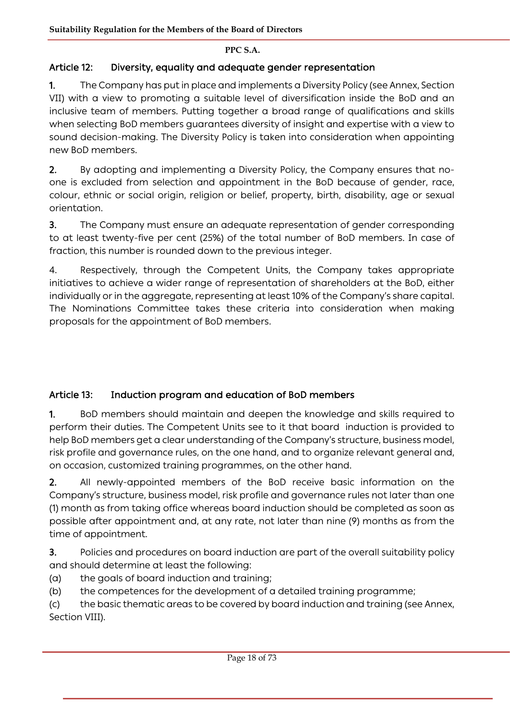# Article 12: Diversity, equality and adequate gender representation

1. The Company has put in place and implements a Diversity Policy (see Annex, Section VII) with a view to promoting a suitable level of diversification inside the BoD and an inclusive team of members. Putting together a broad range of qualifications and skills when selecting BoD members guarantees diversity of insight and expertise with a view to sound decision-making. The Diversity Policy is taken into consideration when appointing new BoD members.

2. By adopting and implementing a Diversity Policy, the Company ensures that noone is excluded from selection and appointment in the BoD because of gender, race, colour, ethnic or social origin, religion or belief, property, birth, disability, age or sexual orientation.

3. The Company must ensure an adequate representation of gender corresponding to at least twenty-five per cent (25%) of the total number of BoD members. In case of fraction, this number is rounded down to the previous integer.

4. Respectively, through the Competent Units, the Company takes appropriate initiatives to achieve a wider range of representation of shareholders at the BoD, either individually or in the aggregate, representing at least 10% of the Company's share capital. The Nominations Committee takes these criteria into consideration when making proposals for the appointment of BoD members.

# Article 13: Induction program and education of BoD members

1. BoD members should maintain and deepen the knowledge and skills required to perform their duties. The Competent Units see to it that board induction is provided to help BoD members get a clear understanding of the Company's structure, business model, risk profile and governance rules, on the one hand, and to organize relevant general and, on occasion, customized training programmes, on the other hand.

2. All newly-appointed members of the BoD receive basic information on the Company's structure, business model, risk profile and governance rules not later than one (1) month as from taking office whereas board induction should be completed as soon as possible after appointment and, at any rate, not later than nine (9) months as from the time of appointment.

3. Policies and procedures on board induction are part of the overall suitability policy and should determine at least the following:

- (a) the goals of board induction and training;
- (b) the competences for the development of a detailed training programme;

(c) the basic thematic areas to be covered by board induction and training (see Annex, Section VIII).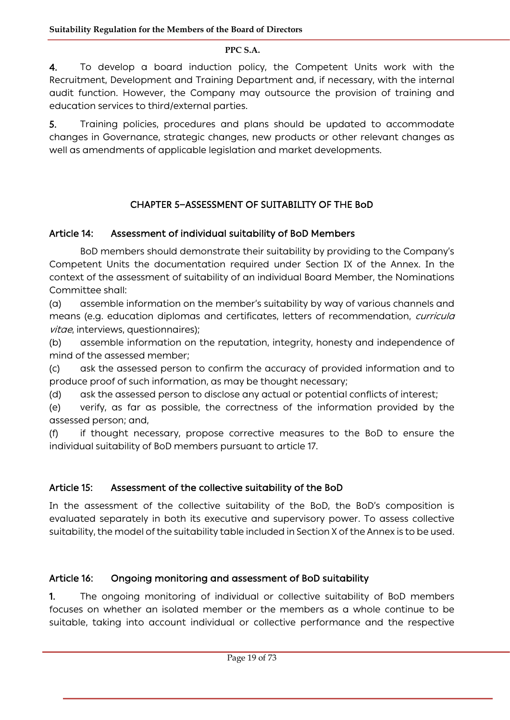4. To develop a board induction policy, the Competent Units work with the Recruitment, Development and Training Department and, if necessary, with the internal audit function. However, the Company may outsource the provision of training and education services to third/external parties.

5. Training policies, procedures and plans should be updated to accommodate changes in Governance, strategic changes, new products or other relevant changes as well as amendments of applicable legislation and market developments.

# CHAPTER 5**―**ASSESSMENT OF SUITABILITY OF THE BoD

# Article 14: Assessment of individual suitability of BoD Members

BoD members should demonstrate their suitability by providing to the Company's Competent Units the documentation required under Section IX of the Annex. In the context of the assessment of suitability of an individual Board Member, the Nominations Committee shall:

(a) assemble information on the member's suitability by way of various channels and means (e.g. education diplomas and certificates, letters of recommendation, *curricula* vitae, interviews, questionnaires);

(b) assemble information on the reputation, integrity, honesty and independence of mind of the assessed member;

(c) ask the assessed person to confirm the accuracy of provided information and to produce proof of such information, as may be thought necessary;

(d) ask the assessed person to disclose any actual or potential conflicts of interest;

(e) verify, as far as possible, the correctness of the information provided by the assessed person; and,

(f) if thought necessary, propose corrective measures to the BoD to ensure the individual suitability of BoD members pursuant to article 17.

# Article 15: Assessment of the collective suitability of the BoD

In the assessment of the collective suitability of the BoD, the BoD's composition is evaluated separately in both its executive and supervisory power. To assess collective suitability, the model of the suitability table included in Section X of the Annex is to be used.

# Article 16: Ongoing monitoring and assessment of BoD suitability

1. The ongoing monitoring of individual or collective suitability of BoD members focuses on whether an isolated member or the members as a whole continue to be suitable, taking into account individual or collective performance and the respective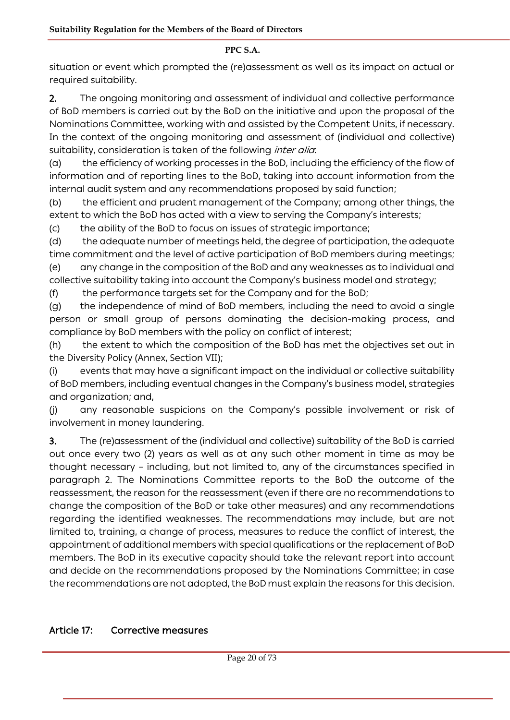situation or event which prompted the (re)assessment as well as its impact on actual or required suitability.

2. The ongoing monitoring and assessment of individual and collective performance of BoD members is carried out by the BoD on the initiative and upon the proposal of the Nominations Committee, working with and assisted by the Competent Units, if necessary. In the context of the ongoing monitoring and assessment of (individual and collective) suitability, consideration is taken of the following *inter alia*:

(a) the efficiency of working processes in the BoD, including the efficiency of the flow of information and of reporting lines to the BoD, taking into account information from the internal audit system and any recommendations proposed by said function;

(b) the efficient and prudent management of the Company; among other things, the extent to which the BoD has acted with a view to serving the Company's interests;

(c) the ability of the BoD to focus on issues of strategic importance;

(d) the adequate number of meetings held, the degree of participation, the adequate time commitment and the level of active participation of BoD members during meetings; (e) any change in the composition of the BoD and any weaknesses as to individual and

collective suitability taking into account the Company's business model and strategy;

(f) the performance targets set for the Company and for the BoD;

(g) the independence of mind of BoD members, including the need to avoid a single person or small group of persons dominating the decision-making process, and compliance by BoD members with the policy on conflict of interest;

(h) the extent to which the composition of the BoD has met the objectives set out in the Diversity Policy (Annex, Section VII);

(i) events that may have a significant impact on the individual or collective suitability of BoD members, including eventual changes in the Company's business model, strategies and organization; and,

(j) any reasonable suspicions on the Company's possible involvement or risk of involvement in money laundering.

3. The (re)assessment of the (individual and collective) suitability of the BoD is carried out once every two (2) years as well as at any such other moment in time as may be thought necessary – including, but not limited to, any of the circumstances specified in paragraph 2. The Nominations Committee reports to the BoD the outcome of the reassessment, the reason for the reassessment (even if there are no recommendations to change the composition of the BoD or take other measures) and any recommendations regarding the identified weaknesses. The recommendations may include, but are not limited to, training, a change of process, measures to reduce the conflict of interest, the appointment of additional members with special qualifications or the replacement of BoD members. The BoD in its executive capacity should take the relevant report into account and decide on the recommendations proposed by the Nominations Committee; in case the recommendations are not adopted, the BoD must explain the reasons for this decision.

### Article 17: Corrective measures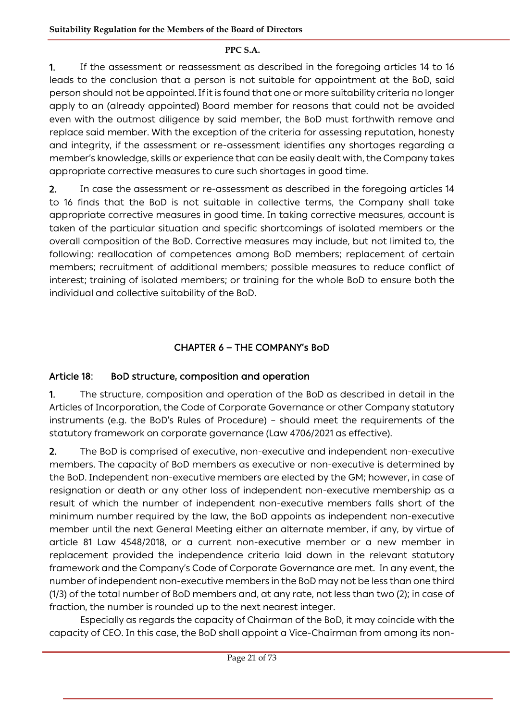1. If the assessment or reassessment as described in the foregoing articles 14 to 16 leads to the conclusion that a person is not suitable for appointment at the BoD, said person should not be appointed. If it is found that one or more suitability criteria no longer apply to an (already appointed) Board member for reasons that could not be avoided even with the outmost diligence by said member, the BoD must forthwith remove and replace said member. With the exception of the criteria for assessing reputation, honesty and integrity, if the assessment or re-assessment identifies any shortages regarding a member's knowledge, skills or experience that can be easily dealt with, the Company takes appropriate corrective measures to cure such shortages in good time.

2. In case the assessment or re-assessment as described in the foregoing articles 14 to 16 finds that the BoD is not suitable in collective terms, the Company shall take appropriate corrective measures in good time. In taking corrective measures, account is taken of the particular situation and specific shortcomings of isolated members or the overall composition of the BoD. Corrective measures may include, but not limited to, the following: reallocation of competences among BoD members; replacement of certain members; recruitment of additional members; possible measures to reduce conflict of interest; training of isolated members; or training for the whole BoD to ensure both the individual and collective suitability of the BoD.

# CHAPTER 6 **―** THE COMPANY's BoD

### Article 18: BoD structure, composition and operation

1. The structure, composition and operation of the BoD as described in detail in the Articles of Incorporation, the Code of Corporate Governance or other Company statutory instruments (e.g. the BoD's Rules of Procedure) – should meet the requirements of the statutory framework on corporate governance (Law 4706/2021 as effective).

2. The BoD is comprised of executive, non-executive and independent non-executive members. The capacity of BoD members as executive or non-executive is determined by the BoD. Independent non-executive members are elected by the GM; however, in case of resignation or death or any other loss of independent non-executive membership as a result of which the number of independent non-executive members falls short of the minimum number required by the law, the BoD appoints as independent non-executive member until the next General Meeting either an alternate member, if any, by virtue of article 81 Law 4548/2018, or a current non-executive member or a new member in replacement provided the independence criteria laid down in the relevant statutory framework and the Company's Code of Corporate Governance are met. In any event, the number of independent non-executive members in the BoD may not be less than one third (1/3) of the total number of BoD members and, at any rate, not less than two (2); in case of fraction, the number is rounded up to the next nearest integer.

Especially as regards the capacity of Chairman of the BoD, it may coincide with the capacity of CEO. In this case, the BoD shall appoint a Vice-Chairman from among its non-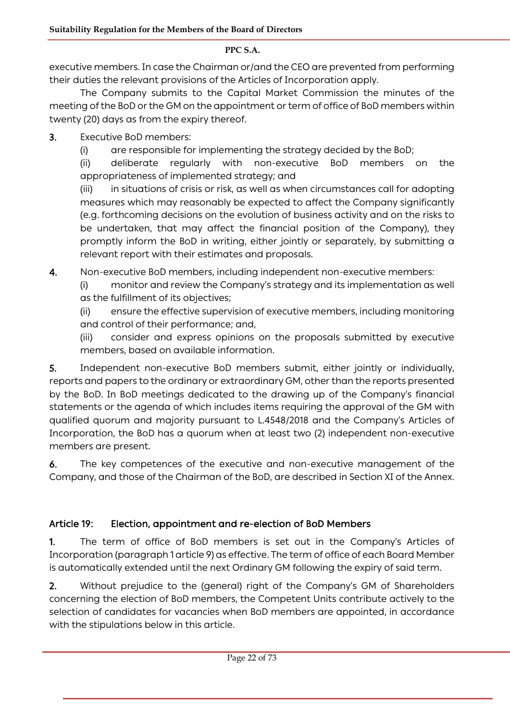executive members. In case the Chairman or/and the CEO are prevented from performing their duties the relevant provisions of the Articles of Incorporation apply.

The Company submits to the Capital Market Commission the minutes of the meeting of the BoD or the GM on the appointment or term of office of BoD members within twenty (20) days as from the expiry thereof.

- 3. Executive BoD members:
	- (i) are responsible for implementing the strategy decided by the BoD;

(ii) deliberate regularly with non-executive BoD members on the appropriateness of implemented strategy; and

(iii) in situations of crisis or risk, as well as when circumstances call for adopting measures which may reasonably be expected to affect the Company significantly (e.g. forthcoming decisions on the evolution of business activity and on the risks to be undertaken, that may affect the financial position of the Company), they promptly inform the BoD in writing, either jointly or separately, by submitting a relevant report with their estimates and proposals.

4. Non-executive BoD members, including independent non-executive members:

- (i) monitor and review the Company's strategy and its implementation as well
- as the fulfillment of its objectives;

(ii) ensure the effective supervision of executive members, including monitoring and control of their performance; and,

(iii) consider and express opinions on the proposals submitted by executive members, based on available information.

5. Independent non-executive BoD members submit, either jointly or individually, reports and papers to the ordinary or extraordinary GM, other than the reports presented by the BoD. In BoD meetings dedicated to the drawing up of the Company's financial statements or the agenda of which includes items requiring the approval of the GM with qualified quorum and majority pursuant to L.4548/2018 and the Company's Articles of Incorporation, the BoD has a quorum when at least two (2) independent non-executive members are present.

6. The key competences of the executive and non-executive management of the Company, and those of the Chairman of the BoD, are described in Section XI of the Annex.

# Article 19: Election, appointment and re-election of BoD Members

1. The term of office of BoD members is set out in the Company's Articles of Incorporation (paragraph 1 article 9) as effective. The term of office of each Board Member is automatically extended until the next Ordinary GM following the expiry of said term.

2. Without prejudice to the (general) right of the Company's GM of Shareholders concerning the election of BoD members, the Competent Units contribute actively to the selection of candidates for vacancies when BoD members are appointed, in accordance with the stipulations below in this article.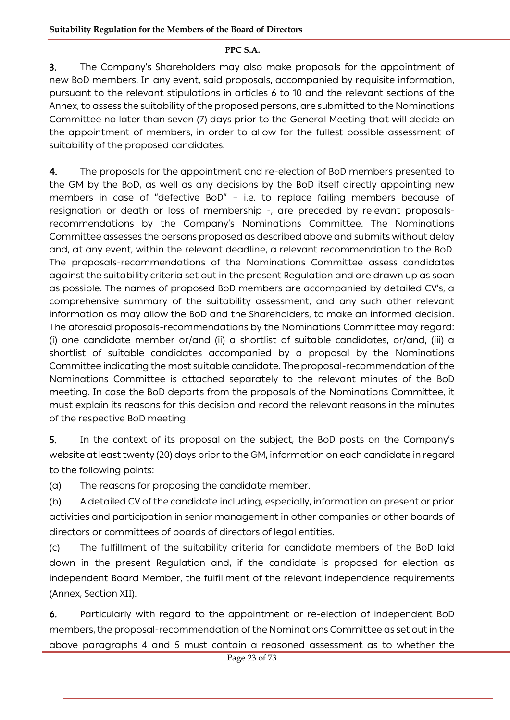3. The Company's Shareholders may also make proposals for the appointment of new BoD members. In any event, said proposals, accompanied by requisite information, pursuant to the relevant stipulations in articles 6 to 10 and the relevant sections of the Annex, to assess the suitability of the proposed persons, are submitted to the Nominations Committee no later than seven (7) days prior to the General Meeting that will decide on the appointment of members, in order to allow for the fullest possible assessment of suitability of the proposed candidates.

4. The proposals for the appointment and re-election of BoD members presented to the GM by the BoD, as well as any decisions by the BoD itself directly appointing new members in case of "defective BoD" – i.e. to replace failing members because of resignation or death or loss of membership -, are preceded by relevant proposalsrecommendations by the Company's Nominations Committee. The Nominations Committee assesses the persons proposed as described above and submits without delay and, at any event, within the relevant deadline, a relevant recommendation to the BoD. The proposals-recommendations of the Nominations Committee assess candidates against the suitability criteria set out in the present Regulation and are drawn up as soon as possible. The names of proposed BoD members are accompanied by detailed CV's, a comprehensive summary of the suitability assessment, and any such other relevant information as may allow the BoD and the Shareholders, to make an informed decision. The aforesaid proposals-recommendations by the Nominations Committee may regard: (i) one candidate member or/and (ii) a shortlist of suitable candidates, or/and, (iii) a shortlist of suitable candidates accompanied by a proposal by the Nominations Committee indicating the most suitable candidate. The proposal-recommendation of the Nominations Committee is attached separately to the relevant minutes of the BoD meeting. In case the BoD departs from the proposals of the Nominations Committee, it must explain its reasons for this decision and record the relevant reasons in the minutes of the respective BoD meeting.

5. In the context of its proposal on the subject, the BoD posts on the Company's website at least twenty (20) days prior to the GM, information on each candidate in regard to the following points:

(a) The reasons for proposing the candidate member.

(b) A detailed CV of the candidate including, especially, information on present or prior activities and participation in senior management in other companies or other boards of directors or committees of boards of directors of legal entities.

(c) The fulfillment of the suitability criteria for candidate members of the BoD laid down in the present Regulation and, if the candidate is proposed for election as independent Board Member, the fulfillment of the relevant independence requirements (Annex, Section XII).

6. Particularly with regard to the appointment or re-election of independent BoD members, the proposal-recommendation of the Nominations Committee as set out in the above paragraphs 4 and 5 must contain a reasoned assessment as to whether the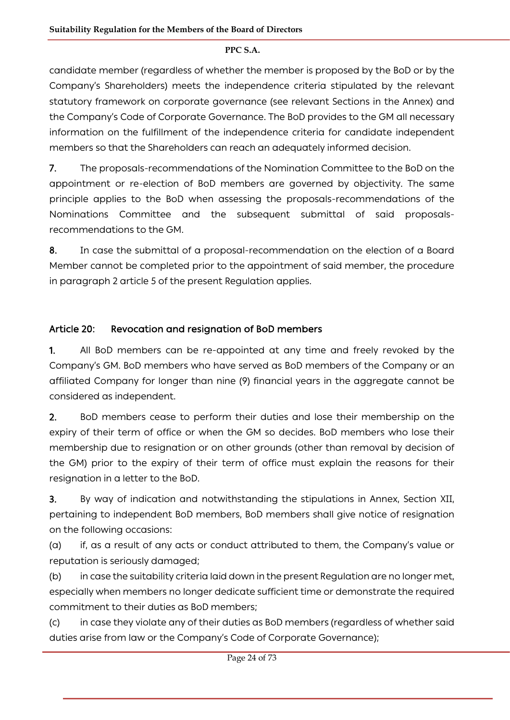candidate member (regardless of whether the member is proposed by the BoD or by the Company's Shareholders) meets the independence criteria stipulated by the relevant statutory framework on corporate governance (see relevant Sections in the Annex) and the Company's Code of Corporate Governance. The BoD provides to the GM all necessary information on the fulfillment of the independence criteria for candidate independent members so that the Shareholders can reach an adequately informed decision.

7. The proposals-recommendations of the Nomination Committee to the BoD on the appointment or re-election of BoD members are governed by objectivity. The same principle applies to the BoD when assessing the proposals-recommendations of the Nominations Committee and the subsequent submittal of said proposalsrecommendations to the GM.

8. In case the submittal of a proposal-recommendation on the election of a Board Member cannot be completed prior to the appointment of said member, the procedure in paragraph 2 article 5 of the present Regulation applies.

# Article 20: Revocation and resignation of BoD members

1. All BoD members can be re-appointed at any time and freely revoked by the Company's GM. BoD members who have served as BoD members of the Company or an affiliated Company for longer than nine (9) financial years in the aggregate cannot be considered as independent.

2. BoD members cease to perform their duties and lose their membership on the expiry of their term of office or when the GM so decides. BoD members who lose their membership due to resignation or on other grounds (other than removal by decision of the GM) prior to the expiry of their term of office must explain the reasons for their resignation in a letter to the BoD.

3. By way of indication and notwithstanding the stipulations in Annex, Section XII, pertaining to independent BoD members, BoD members shall give notice of resignation on the following occasions:

(a) if, as a result of any acts or conduct attributed to them, the Company's value or reputation is seriously damaged;

(b) in case the suitability criteria laid down in the present Regulation are no longer met, especially when members no longer dedicate sufficient time or demonstrate the required commitment to their duties as BoD members;

(c) in case they violate any of their duties as BoD members (regardless of whether said duties arise from law or the Company's Code of Corporate Governance);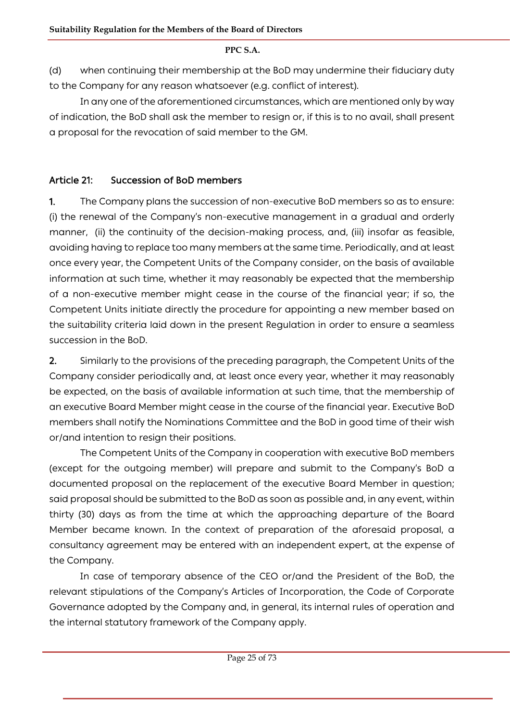(d) when continuing their membership at the BoD may undermine their fiduciary duty to the Company for any reason whatsoever (e.g. conflict of interest).

In any one of the aforementioned circumstances, which are mentioned only by way of indication, the BoD shall ask the member to resign or, if this is to no avail, shall present a proposal for the revocation of said member to the GM.

# Article 21: Succession of BoD members

1. The Company plans the succession of non-executive BoD members so as to ensure: (i) the renewal of the Company's non-executive management in a gradual and orderly manner, (ii) the continuity of the decision-making process, and, (iii) insofar as feasible, avoiding having to replace too many members at the same time. Periodically, and at least once every year, the Competent Units of the Company consider, on the basis of available information at such time, whether it may reasonably be expected that the membership of a non-executive member might cease in the course of the financial year; if so, the Competent Units initiate directly the procedure for appointing a new member based on the suitability criteria laid down in the present Regulation in order to ensure a seamless succession in the BoD.

2. Similarly to the provisions of the preceding paragraph, the Competent Units of the Company consider periodically and, at least once every year, whether it may reasonably be expected, on the basis of available information at such time, that the membership of an executive Board Member might cease in the course of the financial year. Executive BoD members shall notify the Nominations Committee and the BoD in good time of their wish or/and intention to resign their positions.

The Competent Units of the Company in cooperation with executive BoD members (except for the outgoing member) will prepare and submit to the Company's BoD a documented proposal on the replacement of the executive Board Member in question; said proposal should be submitted to the BoD as soon as possible and, in any event, within thirty (30) days as from the time at which the approaching departure of the Board Member became known. In the context of preparation of the aforesaid proposal, a consultancy agreement may be entered with an independent expert, at the expense of the Company.

In case of temporary absence of the CEO or/and the President of the BoD, the relevant stipulations of the Company's Articles of Incorporation, the Code of Corporate Governance adopted by the Company and, in general, its internal rules of operation and the internal statutory framework of the Company apply.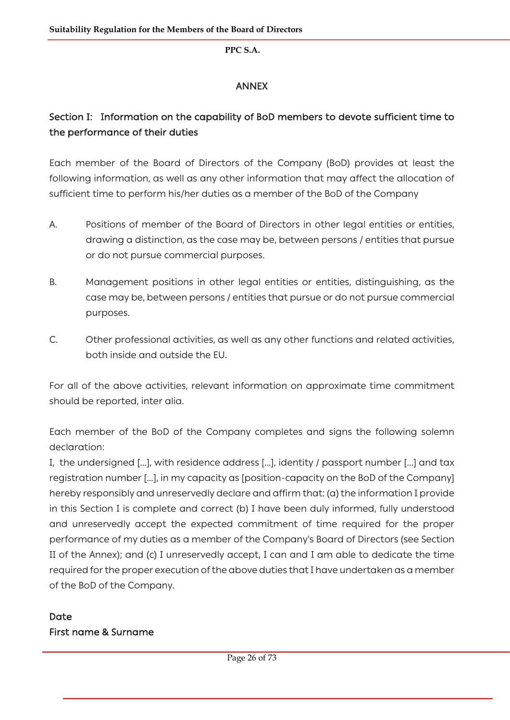# ANNEX

# Section I: Information on the capability of BoD members to devote sufficient time to the performance of their duties

Each member of the Board of Directors of the Company (BoD) provides at least the following information, as well as any other information that may affect the allocation of sufficient time to perform his/her duties as a member of the BoD of the Company

- A. Positions of member of the Board of Directors in other legal entities or entities, drawing a distinction, as the case may be, between persons / entities that pursue or do not pursue commercial purposes.
- B. Management positions in other legal entities or entities, distinguishing, as the case may be, between persons / entities that pursue or do not pursue commercial purposes.
- C. Other professional activities, as well as any other functions and related activities, both inside and outside the EU.

For all of the above activities, relevant information on approximate time commitment should be reported, inter alia.

Each member of the BoD of the Company completes and signs the following solemn declaration:

I, the undersigned [...], with residence address [...], identity / passport number [...] and tax registration number [...], in my capacity as [position-capacity on the BoD of the Company] hereby responsibly and unreservedly declare and affirm that: (a) the information I provide in this Section I is complete and correct (b) I have been duly informed, fully understood and unreservedly accept the expected commitment of time required for the proper performance of my duties as a member of the Company's Board of Directors (see Section II of the Annex); and (c) I unreservedly accept, I can and I am able to dedicate the time required for the proper execution of the above duties that I have undertaken as a member of the BoD of the Company.

# Date First name & Surname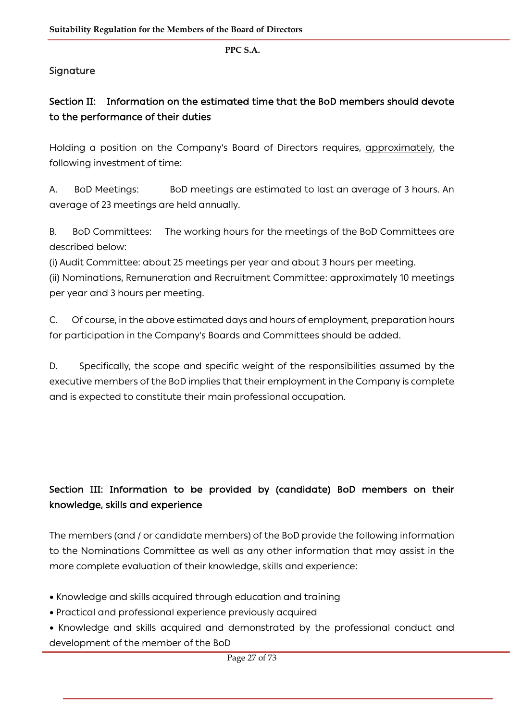# Signature

# Section II: Information on the estimated time that the BoD members should devote to the performance of their duties

Holding a position on the Company's Board of Directors requires, approximately, the following investment of time:

A. BoD Meetings: BoD meetings are estimated to last an average of 3 hours. An average of 23 meetings are held annually.

B. BoD Committees: The working hours for the meetings of the BoD Committees are described below:

(i) Audit Committee: about 25 meetings per year and about 3 hours per meeting.

(ii) Nominations, Remuneration and Recruitment Committee: approximately 10 meetings per year and 3 hours per meeting.

C. Of course, in the above estimated days and hours of employment, preparation hours for participation in the Company's Boards and Committees should be added.

D. Specifically, the scope and specific weight of the responsibilities assumed by the executive members of the BoD implies that their employment in the Company is complete and is expected to constitute their main professional occupation.

# Section III: Information to be provided by (candidate) BoD members on their knowledge, skills and experience

The members (and / or candidate members) of the BoD provide the following information to the Nominations Committee as well as any other information that may assist in the more complete evaluation of their knowledge, skills and experience:

- Knowledge and skills acquired through education and training
- Practical and professional experience previously acquired
- Knowledge and skills acquired and demonstrated by the professional conduct and development of the member of the BoD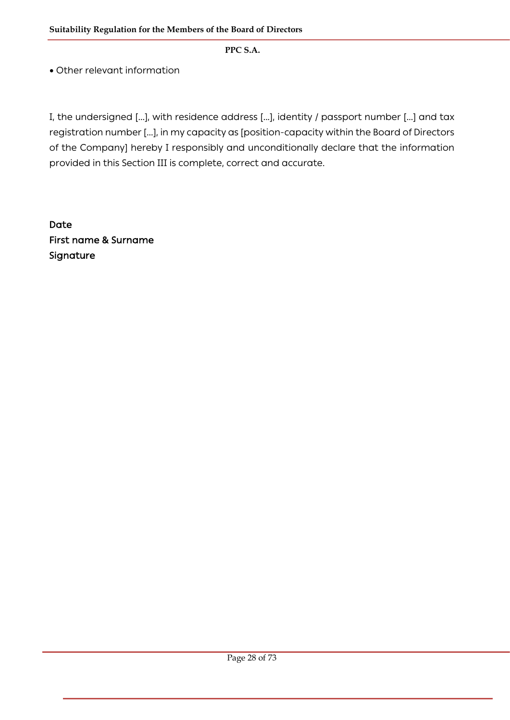• Other relevant information

I, the undersigned [...], with residence address [...], identity / passport number [...] and tax registration number [...], in my capacity as [position-capacity within the Board of Directors of the Company] hereby I responsibly and unconditionally declare that the information provided in this Section III is complete, correct and accurate.

Date First name & Surname Signature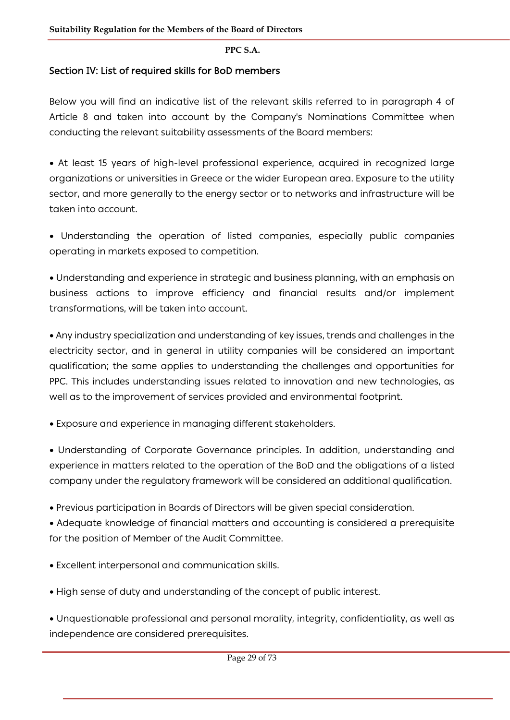## Section IV: List of required skills for BoD members

Below you will find an indicative list of the relevant skills referred to in paragraph 4 of Article 8 and taken into account by the Company's Nominations Committee when conducting the relevant suitability assessments of the Board members:

• At least 15 years of high-level professional experience, acquired in recognized large organizations or universities in Greece or the wider European area. Exposure to the utility sector, and more generally to the energy sector or to networks and infrastructure will be taken into account.

• Understanding the operation of listed companies, especially public companies operating in markets exposed to competition.

• Understanding and experience in strategic and business planning, with an emphasis on business actions to improve efficiency and financial results and/or implement transformations, will be taken into account.

• Any industry specialization and understanding of key issues, trends and challenges in the electricity sector, and in general in utility companies will be considered an important qualification; the same applies to understanding the challenges and opportunities for PPC. This includes understanding issues related to innovation and new technologies, as well as to the improvement of services provided and environmental footprint.

• Exposure and experience in managing different stakeholders.

• Understanding of Corporate Governance principles. In addition, understanding and experience in matters related tο the operation of the BoD and the obligations of a listed company under the regulatory framework will be considered an additional qualification.

• Previous participation in Boards of Directors will be given special consideration.

• Adequate knowledge of financial matters and accounting is considered a prerequisite for the position of Member of the Audit Committee.

- Excellent interpersonal and communication skills.
- High sense of duty and understanding of the concept of public interest.

• Unquestionable professional and personal morality, integrity, confidentiality, as well as independence are considered prerequisites.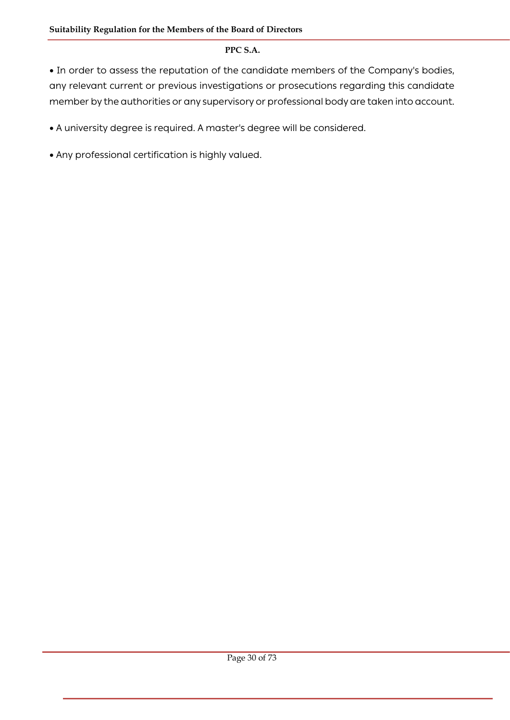• In order to assess the reputation of the candidate members of the Company's bodies, any relevant current or previous investigations or prosecutions regarding this candidate member by the authorities or any supervisory or professional body are taken into account.

• A university degree is required. A master's degree will be considered.

• Any professional certification is highly valued.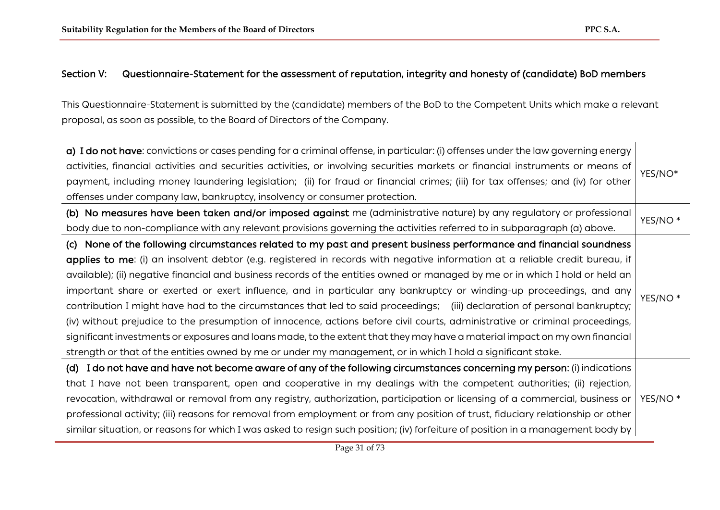### Section V: Questionnaire-Statement for the assessment of reputation, integrity and honesty of (candidate) BoD members

This Questionnaire-Statement is submitted by the (candidate) members of the BoD to the Competent Units which make a relevant proposal, as soon as possible, to the Board of Directors of the Company.

| a) I do not have: convictions or cases pending for a criminal offense, in particular: (i) offenses under the law governing energy<br>activities, financial activities and securities activities, or involving securities markets or financial instruments or means of<br>payment, including money laundering legislation; (ii) for fraud or financial crimes; (iii) for tax offenses; and (iv) for other<br>offenses under company law, bankruptcy, insolvency or consumer protection.                                                                                                                                                                                                                                                                                                                                                                                                           | YES/NO*             |
|--------------------------------------------------------------------------------------------------------------------------------------------------------------------------------------------------------------------------------------------------------------------------------------------------------------------------------------------------------------------------------------------------------------------------------------------------------------------------------------------------------------------------------------------------------------------------------------------------------------------------------------------------------------------------------------------------------------------------------------------------------------------------------------------------------------------------------------------------------------------------------------------------|---------------------|
| (b) No measures have been taken and/or imposed against me (administrative nature) by any regulatory or professional                                                                                                                                                                                                                                                                                                                                                                                                                                                                                                                                                                                                                                                                                                                                                                              | YES/NO <sup>*</sup> |
| body due to non-compliance with any relevant provisions governing the activities referred to in subparagraph (a) above.<br>None of the following circumstances related to my past and present business performance and financial soundness<br>(C)                                                                                                                                                                                                                                                                                                                                                                                                                                                                                                                                                                                                                                                |                     |
| applies to me: (i) an insolvent debtor (e.g. registered in records with negative information at a reliable credit bureau, if<br>available); (ii) negative financial and business records of the entities owned or managed by me or in which I hold or held an<br>important share or exerted or exert influence, and in particular any bankruptcy or winding-up proceedings, and any<br>contribution I might have had to the circumstances that led to said proceedings; (iii) declaration of personal bankruptcy;<br>(iv) without prejudice to the presumption of innocence, actions before civil courts, administrative or criminal proceedings,<br>significant investments or exposures and loans made, to the extent that they may have a material impact on my own financial<br>strength or that of the entities owned by me or under my management, or in which I hold a significant stake. | YES/NO <sup>*</sup> |
| I do not have and have not become aware of any of the following circumstances concerning my person: (i) indications<br>(d)<br>that I have not been transparent, open and cooperative in my dealings with the competent authorities; (ii) rejection,<br>revocation, withdrawal or removal from any registry, authorization, participation or licensing of a commercial, business or<br>professional activity; (iii) reasons for removal from employment or from any position of trust, fiduciary relationship or other<br>similar situation, or reasons for which I was asked to resign such position; (iv) forfeiture of position in a management body by                                                                                                                                                                                                                                        | YES/NO <sup>*</sup> |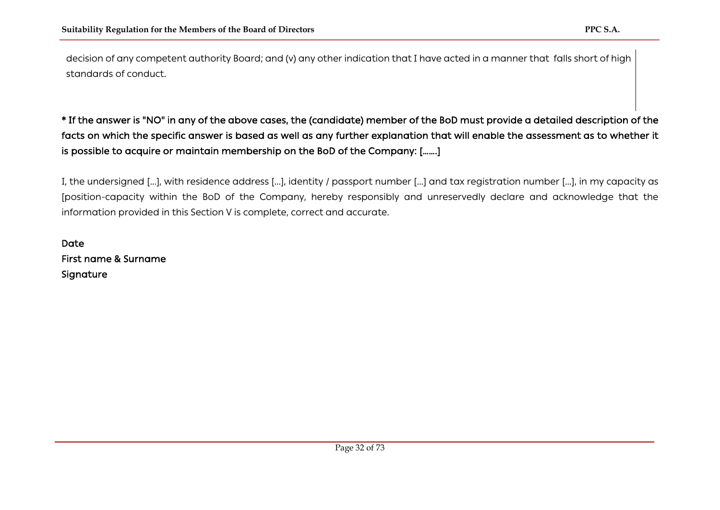decision of any competent authority Board; and (v) any other indication that I have acted in a manner that falls short of high standards of conduct.

# \* If the answer is "NO" in any of the above cases, the (candidate) member of the BoD must provide a detailed description of the facts on which the specific answer is based as well as any further explanation that will enable the assessment as to whether it is possible to acquire or maintain membership on the BoD of the Company: […….]

I, the undersigned [...], with residence address [...], identity / passport number [...] and tax registration number [...], in my capacity as [position-capacity within the BoD of the Company, hereby responsibly and unreservedly declare and acknowledge that the information provided in this Section V is complete, correct and accurate.

Date First name & Surname Signature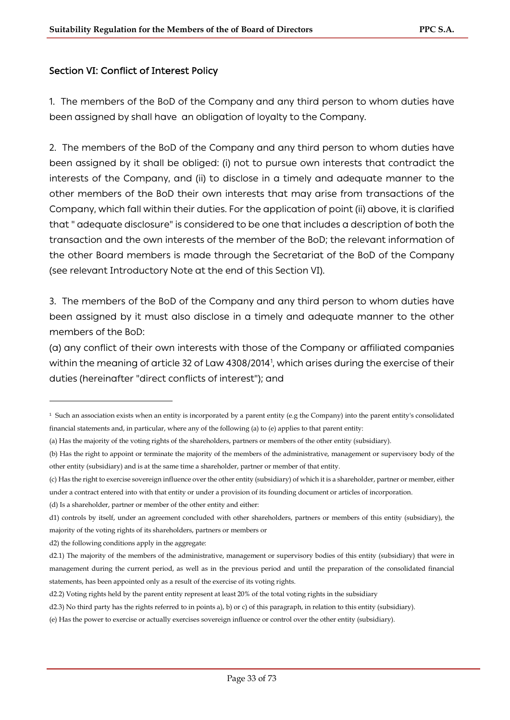### Section VI: Conflict of Interest Policy

1. The members of the BoD of the Company and any third person to whom duties have been assigned by shall have an obligation of loyalty to the Company.

2. The members of the BoD of the Company and any third person to whom duties have been assigned by it shall be obliged: (i) not to pursue own interests that contradict the interests of the Company, and (ii) to disclose in a timely and adequate manner to the other members of the BoD their own interests that may arise from transactions of the Company, which fall within their duties. For the application of point (ii) above, it is clarified that " adequate disclosure" is considered to be one that includes a description of both the transaction and the own interests of the member of the BoD; the relevant information of the other Board members is made through the Secretariat of the BoD of the Company (see relevant Introductory Note at the end of this Section VI).

3. The members of the BoD of the Company and any third person to whom duties have been assigned by it must also disclose in a timely and adequate manner to the other members of the BoD:

(a) any conflict of their own interests with those of the Company or affiliated companies within the meaning of article 32 of Law 4308/20[1](#page-32-0)4<sup>1</sup>, which arises during the exercise of their duties (hereinafter "direct conflicts of interest"); and

(c) Has the right to exercise sovereign influence over the other entity (subsidiary) of which it is a shareholder, partner or member, either under a contract entered into with that entity or under a provision of its founding document or articles of incorporation.

(d) Is a shareholder, partner or member of the other entity and either:

d2) the following conditions apply in the aggregate:

<span id="page-32-0"></span><sup>&</sup>lt;sup>1</sup> Such an association exists when an entity is incorporated by a parent entity (e.g the Company) into the parent entity's consolidated financial statements and, in particular, where any of the following (a) to (e) applies to that parent entity:

<sup>(</sup>a) Has the majority of the voting rights of the shareholders, partners or members of the other entity (subsidiary).

<sup>(</sup>b) Has the right to appoint or terminate the majority of the members of the administrative, management or supervisory body of the other entity (subsidiary) and is at the same time a shareholder, partner or member of that entity.

d1) controls by itself, under an agreement concluded with other shareholders, partners or members of this entity (subsidiary), the majority of the voting rights of its shareholders, partners or members or

d2.1) The majority of the members of the administrative, management or supervisory bodies of this entity (subsidiary) that were in management during the current period, as well as in the previous period and until the preparation of the consolidated financial statements, has been appointed only as a result of the exercise of its voting rights.

d2.2) Voting rights held by the parent entity represent at least 20% of the total voting rights in the subsidiary

d2.3) No third party has the rights referred to in points a), b) or c) of this paragraph, in relation to this entity (subsidiary).

<sup>(</sup>e) Has the power to exercise or actually exercises sovereign influence or control over the other entity (subsidiary).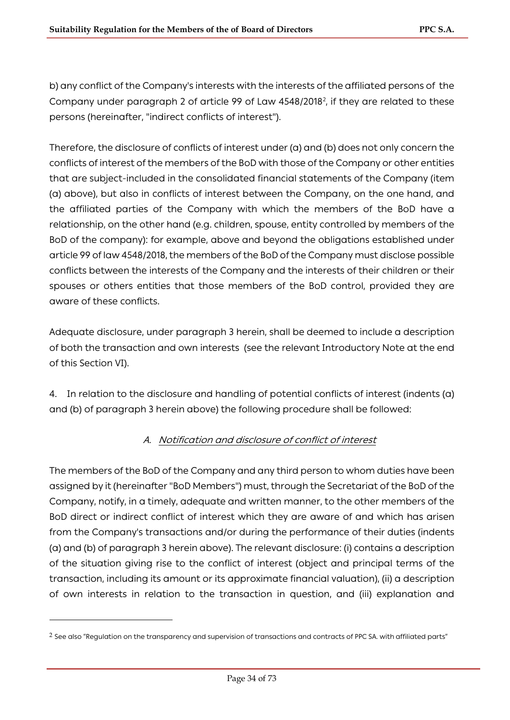b) any conflict of the Company's interests with the interests of the affiliated persons of the Company under paragraph [2](#page-33-0) of article 99 of Law  $4548/2018^2$ , if they are related to these persons (hereinafter, "indirect conflicts of interest").

Therefore, the disclosure of conflicts of interest under (a) and (b) does not only concern the conflicts of interest of the members of the BoD with those of the Company or other entities that are subject-included in the consolidated financial statements of the Company (item (a) above), but also in conflicts of interest between the Company, on the one hand, and the affiliated parties of the Company with which the members of the BoD have a relationship, on the other hand (e.g. children, spouse, entity controlled by members of the BoD of the company): for example, above and beyond the obligations established under article 99 of law 4548/2018, the members of the BoD of the Company must disclose possible conflicts between the interests of the Company and the interests of their children or their spouses or others entities that those members of the BoD control, provided they are aware of these conflicts.

Adequate disclosure, under paragraph 3 herein, shall be deemed to include a description of both the transaction and own interests (see the relevant Introductory Note at the end of this Section VI).

4. In relation to the disclosure and handling of potential conflicts of interest (indents (a) and (b) of paragraph 3 herein above) the following procedure shall be followed:

# A. Notification and disclosure of conflict of interest

The members of the BoD of the Company and any third person to whom duties have been assigned by it (hereinafter "BoD Members") must, through the Secretariat of the BoD of the Company, notify, in a timely, adequate and written manner, to the other members of the BoD direct or indirect conflict of interest which they are aware of and which has arisen from the Company's transactions and/or during the performance of their duties (indents (a) and (b) of paragraph 3 herein above). The relevant disclosure: (i) contains a description of the situation giving rise to the conflict of interest (object and principal terms of the transaction, including its amount or its approximate financial valuation), (ii) a description of own interests in relation to the transaction in question, and (iii) explanation and

<span id="page-33-0"></span> $2$  See also "Regulation on the transparency and supervision of transactions and contracts of PPC SA. with affiliated parts"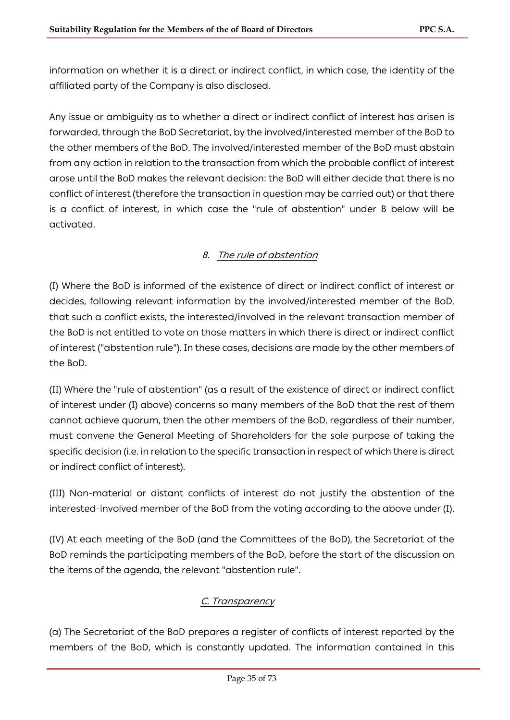information on whether it is a direct or indirect conflict, in which case, the identity of the affiliated party of the Company is also disclosed.

Any issue or ambiguity as to whether a direct or indirect conflict of interest has arisen is forwarded, through the BoD Secretariat, by the involved/interested member of the BoD to the other members of the BoD. The involved/interested member of the BoD must abstain from any action in relation to the transaction from which the probable conflict of interest arose until the BoD makes the relevant decision: the BoD will either decide that there is no conflict of interest (therefore the transaction in question may be carried out) or that there is a conflict of interest, in which case the "rule of abstention" under B below will be activated.

### B. The rule of abstention

(I) Where the BoD is informed of the existence of direct or indirect conflict of interest or decides, following relevant information by the involved/interested member of the BoD, that such a conflict exists, the interested/involved in the relevant transaction member of the BoD is not entitled to vote on those matters in which there is direct or indirect conflict of interest ("abstention rule"). In these cases, decisions are made by the other members of the BoD.

(II) Where the "rule of abstention" (as a result of the existence of direct or indirect conflict of interest under (I) above) concerns so many members of the BoD that the rest of them cannot achieve quorum, then the other members of the BoD, regardless of their number, must convene the General Meeting of Shareholders for the sole purpose of taking the specific decision (i.e. in relation to the specific transaction in respect of which there is direct or indirect conflict of interest).

(III) Non-material or distant conflicts of interest do not justify the abstention of the interested-involved member of the BoD from the voting according to the above under (I).

(IV) At each meeting of the BoD (and the Committees of the BoD), the Secretariat of the BoD reminds the participating members of the BoD, before the start of the discussion on the items of the agenda, the relevant "abstention rule".

### C. Transparency

(a) The Secretariat of the BoD prepares a register of conflicts of interest reported by the members of the BoD, which is constantly updated. The information contained in this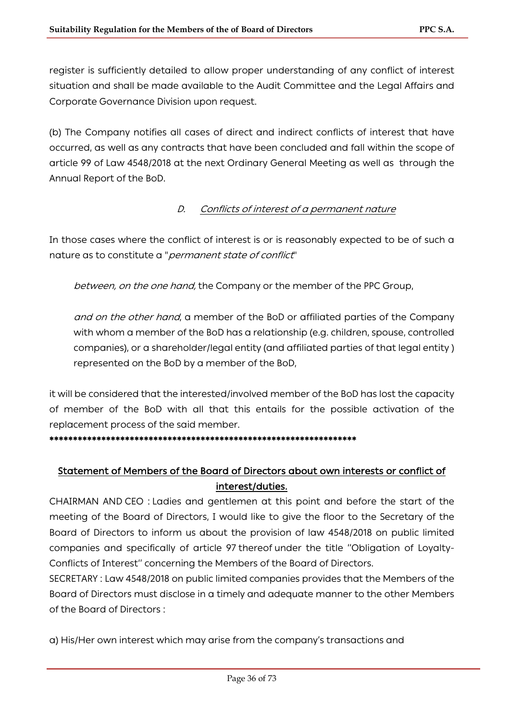register is sufficiently detailed to allow proper understanding of any conflict of interest situation and shall be made available to the Audit Committee and the Legal Affairs and Corporate Governance Division upon request.

(b) The Company notifies all cases of direct and indirect conflicts of interest that have occurred, as well as any contracts that have been concluded and fall within the scope of article 99 of Law 4548/2018 at the next Ordinary General Meeting as well as through the Annual Report of the BoD.

### D. Conflicts of interest of a permanent nature

In those cases where the conflict of interest is or is reasonably expected to be of such a nature as to constitute a "*permanent state of conflict*"

between, on the one hand, the Company or the member of the PPC Group,

and on the other hand, a member of the BoD or affiliated parties of the Company with whom a member of the BoD has a relationship (e.g. children, spouse, controlled companies), or a shareholder/legal entity (and affiliated parties of that legal entity ) represented on the BoD by a member of the BoD,

it will be considered that the interested/involved member of the BoD has lost the capacity of member of the BoD with all that this entails for the possible activation of the replacement process of the said member.

#### \*\*\*\*\*\*\*\*\*\*\*\*\*\*\*\*\*\*\*\*\*\*\*\*\*\*\*\*\*\*\*\*\*\*\*\*\*\*\*\*\*\*\*\*\*\*\*\*\*\*\*\*\*\*\*\*\*\*\*\*\*\*\*\*\*

# Statement of Members of the Board of Directors about own interests or conflict of interest/duties.

CHAIRMAN AND CEO : Ladies and gentlemen at this point and before the start of the meeting of the Board of Directors, I would like to give the floor to the Secretary of the Board of Directors to inform us about the provision of law 4548/2018 on public limited companies and specifically of article 97 thereof under the title ''Obligation of Loyalty-Conflicts of Interest'' concerning the Members of the Board of Directors.

SECRETARY : Law 4548/2018 on public limited companies provides that the Members of the Board of Directors must disclose in a timely and adequate manner to the other Members of the Board of Directors :

a) His/Her own interest which may arise from the company's transactions and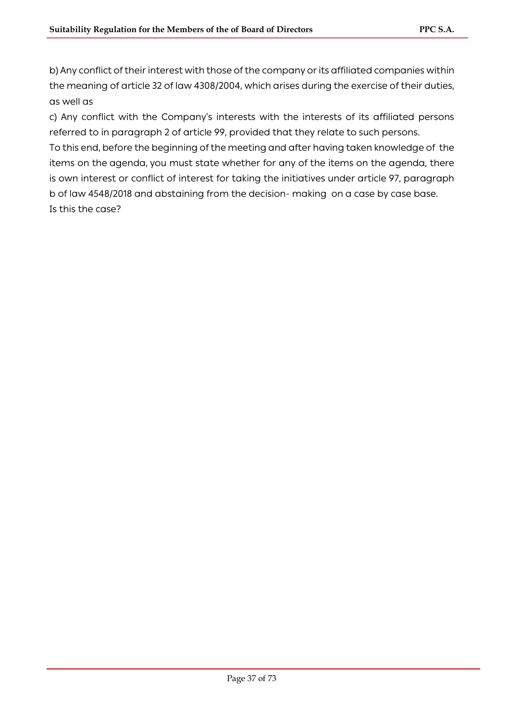b) Any conflict of their interest with those of the company or its affiliated companies within the meaning of article 32 of law 4308/2004, which arises during the exercise of their duties, as well as

c) Any conflict with the Company's interests with the interests of its affiliated persons referred to in paragraph 2 of article 99, provided that they relate to such persons.

To this end, before the beginning of the meeting and after having taken knowledge of the items on the agenda, you must state whether for any of the items on the agenda, there is own interest or conflict of interest for taking the initiatives under article 97, paragraph b of law 4548/2018 and abstaining from the decision- making on a case by case base. Is this the case?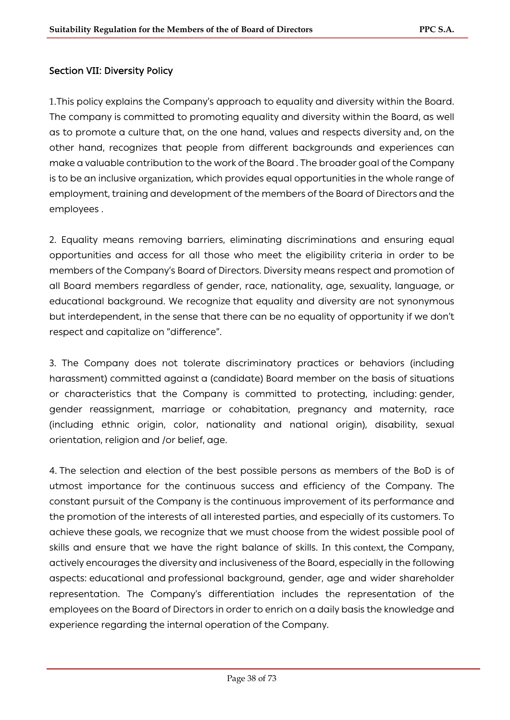## Section VII: Diversity Policy

1.This policy explains the Company's approach to equality and diversity within the Board. The company is committed to promoting equality and diversity within the Board, as well as to promote a culture that, on the one hand, values and respects diversity and, on the other hand, recognizes that people from different backgrounds and experiences can make a valuable contribution to the work of the Board . The broader goal of the Company is to be an inclusive organization, which provides equal opportunities in the whole range of employment, training and development of the members of the Board of Directors and the employees .

2. Equality means removing barriers, eliminating discriminations and ensuring equal opportunities and access for all those who meet the eligibility criteria in order to be members of the Company's Board of Directors. Diversity means respect and promotion of all Board members regardless of gender, race, nationality, age, sexuality, language, or educational background. We recognize that equality and diversity are not synonymous but interdependent, in the sense that there can be no equality of opportunity if we don't respect and capitalize on "difference".

3. The Company does not tolerate discriminatory practices or behaviors (including harassment) committed against a (candidate) Board member on the basis of situations or characteristics that the Company is committed to protecting, including: gender, gender reassignment, marriage or cohabitation, pregnancy and maternity, race (including ethnic origin, color, nationality and national origin), disability, sexual orientation, religion and /or belief, age.

4. The selection and election of the best possible persons as members of the BoD is of utmost importance for the continuous success and efficiency of the Company. The constant pursuit of the Company is the continuous improvement of its performance and the promotion of the interests of all interested parties, and especially of its customers. To achieve these goals, we recognize that we must choose from the widest possible pool of skills and ensure that we have the right balance of skills. In this context, the Company, actively encourages the diversity and inclusiveness of the Board, especially in the following aspects: educational and professional background, gender, age and wider shareholder representation. The Company's differentiation includes the representation of the employees on the Board of Directors in order to enrich on a daily basis the knowledge and experience regarding the internal operation of the Company.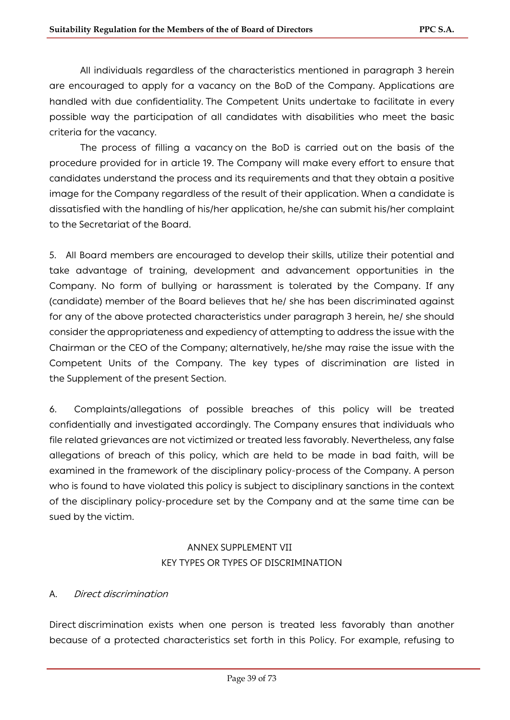All individuals regardless of the characteristics mentioned in paragraph 3 herein are encouraged to apply for a vacancy on the BoD of the Company. Applications are handled with due confidentiality. The Competent Units undertake to facilitate in every possible way the participation of all candidates with disabilities who meet the basic criteria for the vacancy.

The process of filling a vacancy on the BoD is carried out on the basis of the procedure provided for in article 19. The Company will make every effort to ensure that candidates understand the process and its requirements and that they obtain a positive image for the Company regardless of the result of their application. When a candidate is dissatisfied with the handling of his/her application, he/she can submit his/her complaint to the Secretariat of the Board.

5. All Board members are encouraged to develop their skills, utilize their potential and take advantage of training, development and advancement opportunities in the Company. No form of bullying or harassment is tolerated by the Company. If any (candidate) member of the Board believes that he/ she has been discriminated against for any of the above protected characteristics under paragraph 3 herein, he/ she should consider the appropriateness and expediency of attempting to address the issue with the Chairman or the CEO of the Company; alternatively, he/she may raise the issue with the Competent Units of the Company. The key types of discrimination are listed in the Supplement of the present Section.

6. Complaints/allegations of possible breaches of this policy will be treated confidentially and investigated accordingly. The Company ensures that individuals who file related grievances are not victimized or treated less favorably. Nevertheless, any false allegations of breach of this policy, which are held to be made in bad faith, will be examined in the framework of the disciplinary policy-process of the Company. A person who is found to have violated this policy is subject to disciplinary sanctions in the context of the disciplinary policy-procedure set by the Company and at the same time can be sued by the victim.

## ANNEX SUPPLEMENT VII KEY TYPES OR TYPES OF DISCRIMINATION

### A. Direct discrimination

Direct discrimination exists when one person is treated less favorably than another because of a protected characteristics set forth in this Policy. For example, refusing to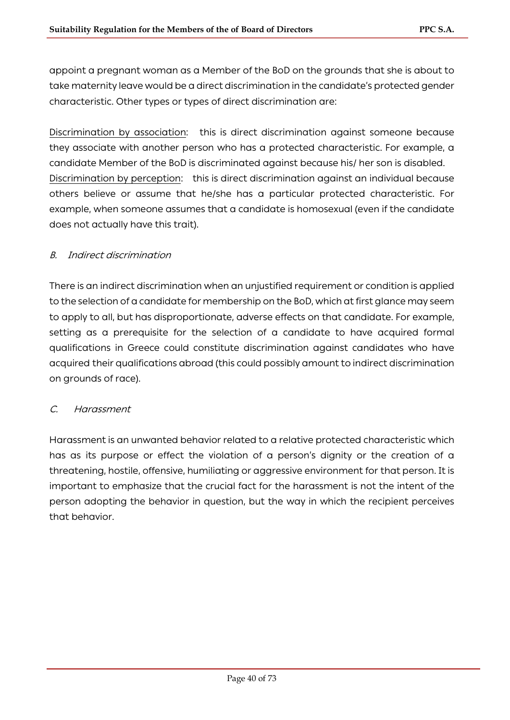appoint a pregnant woman as a Member of the BoD on the grounds that she is about to take maternity leave would be a direct discrimination in the candidate's protected gender characteristic. Other types or types of direct discrimination are:

Discrimination by association: this is direct discrimination against someone because they associate with another person who has a protected characteristic. For example, a candidate Member of the BoD is discriminated against because his/ her son is disabled. Discrimination by perception: this is direct discrimination against an individual because others believe or assume that he/she has a particular protected characteristic. For example, when someone assumes that a candidate is homosexual (even if the candidate does not actually have this trait).

## B. Indirect discrimination

There is an indirect discrimination when an unjustified requirement or condition is applied to the selection of a candidate for membership on the BoD, which at first glance may seem to apply to all, but has disproportionate, adverse effects on that candidate. For example, setting as a prerequisite for the selection of a candidate to have acquired formal qualifications in Greece could constitute discrimination against candidates who have acquired their qualifications abroad (this could possibly amount to indirect discrimination on grounds of race).

### C. Harassment

Harassment is an unwanted behavior related to a relative protected characteristic which has as its purpose or effect the violation of a person's dignity or the creation of a threatening, hostile, offensive, humiliating or aggressive environment for that person. It is important to emphasize that the crucial fact for the harassment is not the intent of the person adopting the behavior in question, but the way in which the recipient perceives that behavior.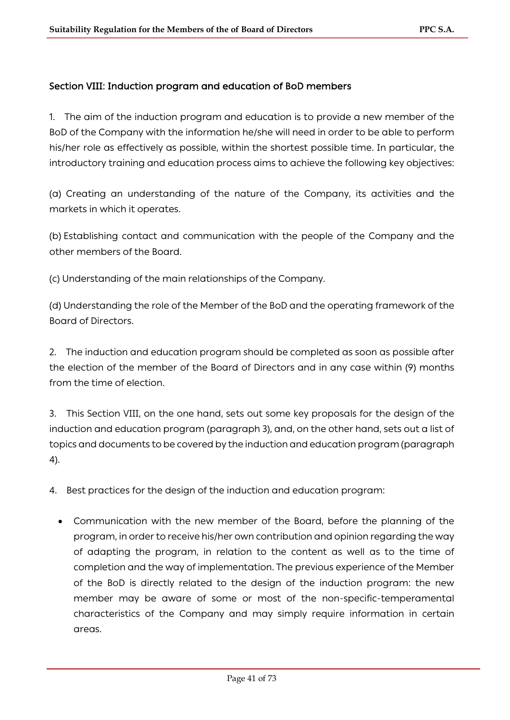### Section VIII: Induction program and education of BoD members

1. The aim of the induction program and education is to provide a new member of the BoD of the Company with the information he/she will need in order to be able to perform his/her role as effectively as possible, within the shortest possible time. In particular, the introductory training and education process aims to achieve the following key objectives:

(a) Creating an understanding of the nature of the Company, its activities and the markets in which it operates.

(b) Establishing contact and communication with the people of the Company and the other members of the Board.

(c) Understanding of the main relationships of the Company.

(d) Understanding the role of the Member of the BoD and the operating framework of the Board of Directors.

2. The induction and education program should be completed as soon as possible after the election of the member of the Board of Directors and in any case within (9) months from the time of election.

3. This Section VIII, on the one hand, sets out some key proposals for the design of the induction and education program (paragraph 3), and, on the other hand, sets out a list of topics and documents to be covered by the induction and education program (paragraph 4).

4. Best practices for the design of the induction and education program:

• Communication with the new member of the Board, before the planning of the program, in order to receive his/her own contribution and opinion regarding the way of adapting the program, in relation to the content as well as to the time of completion and the way of implementation. The previous experience of the Member of the BoD is directly related to the design of the induction program: the new member may be aware of some or most of the non-specific-temperamental characteristics of the Company and may simply require information in certain areas.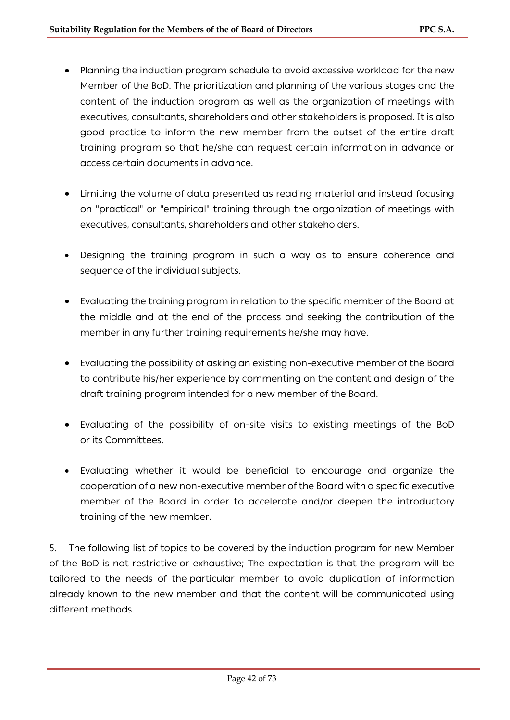- Planning the induction program schedule to avoid excessive workload for the new Member of the BoD. The prioritization and planning of the various stages and the content of the induction program as well as the organization of meetings with executives, consultants, shareholders and other stakeholders is proposed. It is also good practice to inform the new member from the outset of the entire draft training program so that he/she can request certain information in advance or access certain documents in advance.
- Limiting the volume of data presented as reading material and instead focusing on "practical" or "empirical" training through the organization of meetings with executives, consultants, shareholders and other stakeholders.
- Designing the training program in such a way as to ensure coherence and sequence of the individual subjects.
- Evaluating the training program in relation to the specific member of the Board at the middle and at the end of the process and seeking the contribution of the member in any further training requirements he/she may have.
- Evaluating the possibility of asking an existing non-executive member of the Board to contribute his/her experience by commenting on the content and design of the draft training program intended for a new member of the Board.
- Evaluating of the possibility of on-site visits to existing meetings of the BoD or its Committees.
- Evaluating whether it would be beneficial to encourage and organize the cooperation of a new non-executive member of the Board with a specific executive member of the Board in order to accelerate and/or deepen the introductory training of the new member.

5. The following list of topics to be covered by the induction program for new Member of the BoD is not restrictive or exhaustive; The expectation is that the program will be tailored to the needs of the particular member to avoid duplication of information already known to the new member and that the content will be communicated using different methods.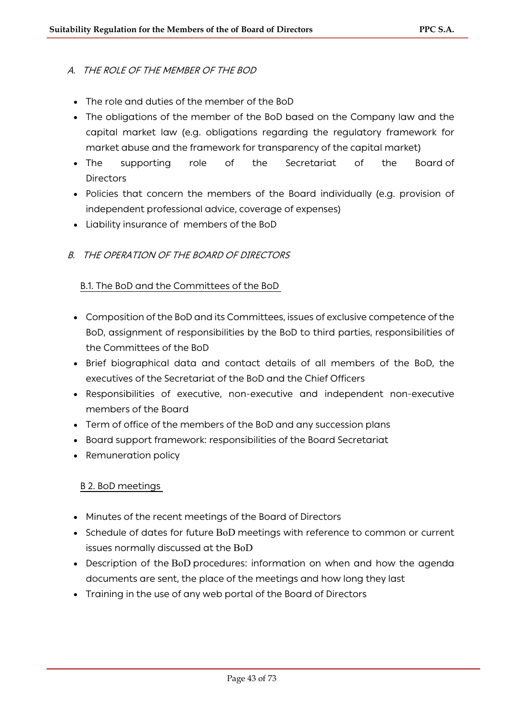## A. THE ROLE OF THE MEMBER OF THE BOD

- The role and duties of the member of the BoD
- The obligations of the member of the BoD based on the Company law and the capital market law (e.g. obligations regarding the regulatory framework for market abuse and the framework for transparency of the capital market)
- The supporting role of the Secretariat of the Board of **Directors**
- Policies that concern the members of the Board individually (e.g. provision of independent professional advice, coverage of expenses)
- Liability insurance of members of the BoD

## B. THE OPERATION OF THE BOARD OF DIRECTORS

### B.1. The BoD and the Committees of the BoD

- Composition of the BoD and its Committees, issues of exclusive competence of the BoD, assignment of responsibilities by the BoD to third parties, responsibilities of the Committees of the BoD
- Brief biographical data and contact details of all members of the BoD, the executives of the Secretariat of the BoD and the Chief Officers
- Responsibilities of executive, non-executive and independent non-executive members of the Board
- Term of office of the members of the BoD and any succession plans
- Board support framework: responsibilities of the Board Secretariat
- Remuneration policy

### B 2. BoD meetings

- Minutes of the recent meetings of the Board of Directors
- Schedule of dates for future BoD meetings with reference to common or current issues normally discussed at the BoD
- Description of the BoD procedures: information on when and how the agenda documents are sent, the place of the meetings and how long they last
- Training in the use of any web portal of the Board of Directors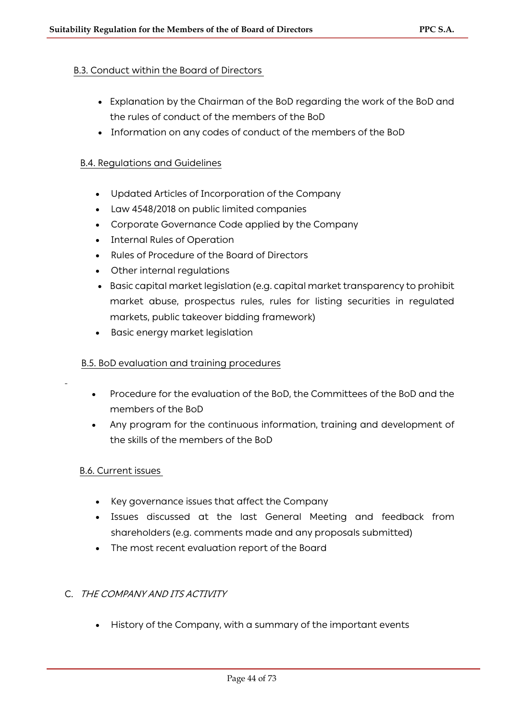## B.3. Conduct within the Board of Directors

- Explanation by the Chairman of the BoD regarding the work of the BoD and the rules of conduct of the members of the BoD
- Information on any codes of conduct of the members of the BoD

### B.4. Regulations and Guidelines

- Updated Articles of Incorporation of the Company
- Law 4548/2018 on public limited companies
- Corporate Governance Code applied by the Company
- Internal Rules of Operation
- Rules of Procedure of the Board of Directors
- Other internal regulations
- Basic capital market legislation (e.g. capital market transparency to prohibit market abuse, prospectus rules, rules for listing securities in regulated markets, public takeover bidding framework)
- Basic energy market legislation

#### B.5. BoD evaluation and training procedures

- Procedure for the evaluation of the BoD, the Committees of the BoD and the members of the BoD
- Any program for the continuous information, training and development of the skills of the members of the BoD

### B.6. Current issues

- Key governance issues that affect the Company
- Issues discussed at the last General Meeting and feedback from shareholders (e.g. comments made and any proposals submitted)
- The most recent evaluation report of the Board

### C. THE COMPANY AND ITS ACTIVITY

• History of the Company, with a summary of the important events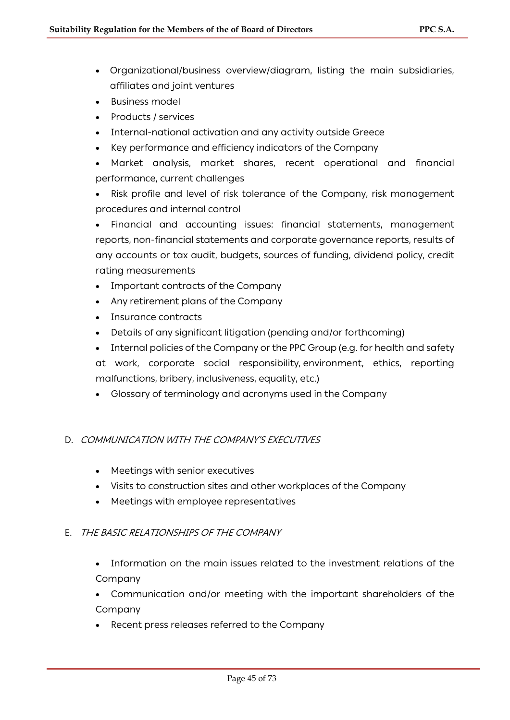- Organizational/business overview/diagram, listing the main subsidiaries, affiliates and joint ventures
- Business model
- Products / services
- Internal-national activation and any activity outside Greece
- Key performance and efficiency indicators of the Company
- Market analysis, market shares, recent operational and financial performance, current challenges

• Risk profile and level of risk tolerance of the Company, risk management procedures and internal control

• Financial and accounting issues: financial statements, management reports, non-financial statements and corporate governance reports, results of any accounts or tax audit, budgets, sources of funding, dividend policy, credit rating measurements

- Important contracts of the Company
- Any retirement plans of the Company
- Insurance contracts
- Details of any significant litigation (pending and/or forthcoming)

• Internal policies of the Company or the PPC Group (e.g. for health and safety at work, corporate social responsibility, environment, ethics, reporting malfunctions, bribery, inclusiveness, equality, etc.)

• Glossary of terminology and acronyms used in the Company

### D. COMMUNICATION WITH THE COMPANY'S EXECUTIVES

- Meetings with senior executives
- Visits to construction sites and other workplaces of the Company
- Meetings with employee representatives

### E. THE BASIC RELATIONSHIPS OF THE COMPANY

- Information on the main issues related to the investment relations of the Company
- Communication and/or meeting with the important shareholders of the Company
- Recent press releases referred to the Company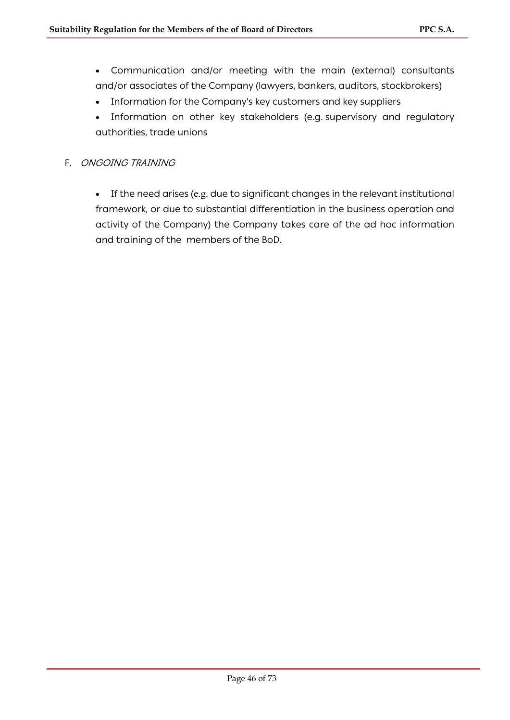- Communication and/or meeting with the main (external) consultants and/or associates of the Company (lawyers, bankers, auditors, stockbrokers)
- Information for the Company's key customers and key suppliers
- Information on other key stakeholders (e.g. supervisory and regulatory authorities, trade unions
- F. ONGOING TRAINING
	- If the need arises (e.g. due to significant changes in the relevant institutional framework, or due to substantial differentiation in the business operation and activity of the Company) the Company takes care of the ad hoc information and training of the members of the BoD.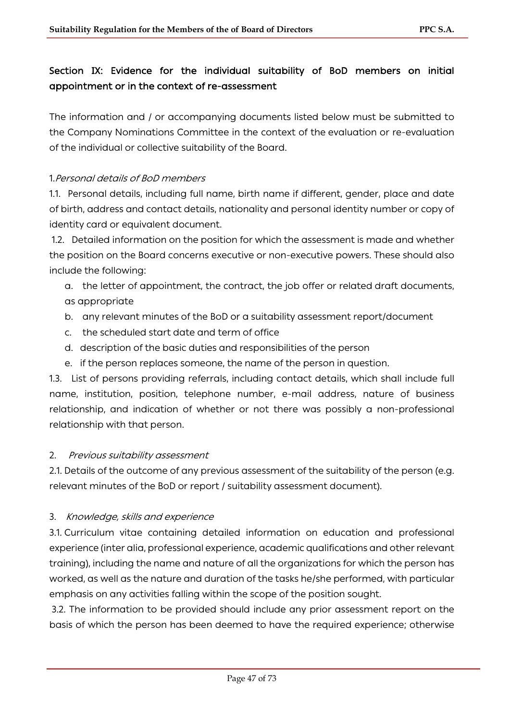# Section IX: Evidence for the individual suitability of BoD members on initial appointment or in the context of re-assessment

The information and / or accompanying documents listed below must be submitted to the Company Nominations Committee in the context of the evaluation or re-evaluation of the individual or collective suitability of the Board.

## 1.Personal details of BoD members

1.1. Personal details, including full name, birth name if different, gender, place and date of birth, address and contact details, nationality and personal identity number or copy of identity card or equivalent document.

1.2. Detailed information on the position for which the assessment is made and whether the position on the Board concerns executive or non-executive powers. These should also include the following:

- a. the letter of appointment, the contract, the job offer or related draft documents, as appropriate
- b. any relevant minutes of the BoD or a suitability assessment report/document
- c. the scheduled start date and term of office
- d. description of the basic duties and responsibilities of the person
- e. if the person replaces someone, the name of the person in question.

1.3. List of persons providing referrals, including contact details, which shall include full name, institution, position, telephone number, e-mail address, nature of business relationship, and indication of whether or not there was possibly a non-professional relationship with that person.

### 2. Previous suitability assessment

2.1. Details of the outcome of any previous assessment of the suitability of the person (e.g. relevant minutes of the BoD or report / suitability assessment document).

### 3. Knowledge, skills and experience

3.1. Curriculum vitae containing detailed information on education and professional experience (inter alia, professional experience, academic qualifications and other relevant training), including the name and nature of all the organizations for which the person has worked, as well as the nature and duration of the tasks he/she performed, with particular emphasis on any activities falling within the scope of the position sought.

3.2. The information to be provided should include any prior assessment report on the basis of which the person has been deemed to have the required experience; otherwise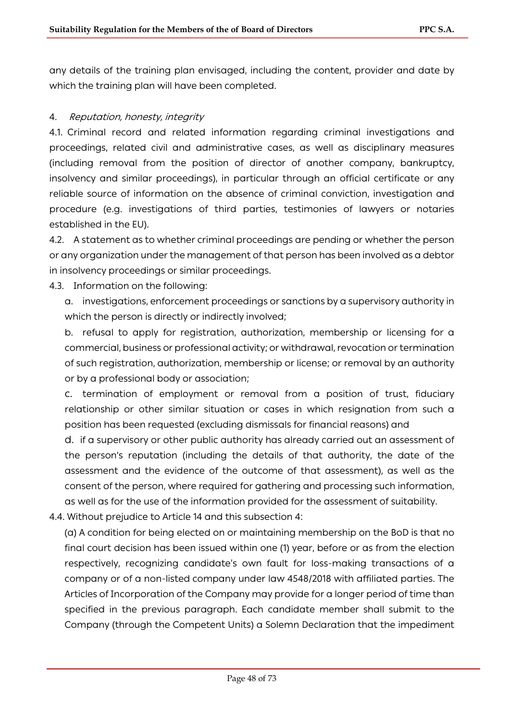any details of the training plan envisaged, including the content, provider and date by which the training plan will have been completed.

#### 4. Reputation, honesty, integrity

4.1. Criminal record and related information regarding criminal investigations and proceedings, related civil and administrative cases, as well as disciplinary measures (including removal from the position of director of another company, bankruptcy, insolvency and similar proceedings), in particular through an official certificate or any reliable source of information on the absence of criminal conviction, investigation and procedure (e.g. investigations of third parties, testimonies of lawyers or notaries established in the EU).

4.2. A statement as to whether criminal proceedings are pending or whether the person or any organization under the management of that person has been involved as a debtor in insolvency proceedings or similar proceedings.

4.3. Information on the following:

a. investigations, enforcement proceedings or sanctions by a supervisory authority in which the person is directly or indirectly involved;

b. refusal to apply for registration, authorization, membership or licensing for a commercial, business or professional activity; or withdrawal, revocation or termination of such registration, authorization, membership or license; or removal by an authority or by a professional body or association;

c. termination of employment or removal from a position of trust, fiduciary relationship or other similar situation or cases in which resignation from such a position has been requested (excluding dismissals for financial reasons) and

d. if a supervisory or other public authority has already carried out an assessment of the person's reputation (including the details of that authority, the date of the assessment and the evidence of the outcome of that assessment), as well as the consent of the person, where required for gathering and processing such information, as well as for the use of the information provided for the assessment of suitability.

4.4. Without prejudice to Article 14 and this subsection 4:

(a) A condition for being elected on or maintaining membership on the BoD is that no final court decision has been issued within one (1) year, before or as from the election respectively, recognizing candidate's own fault for loss-making transactions of a company or of a non-listed company under law 4548/2018 with affiliated parties. The Articles of Incorporation of the Company may provide for a longer period of time than specified in the previous paragraph. Each candidate member shall submit to the Company (through the Competent Units) a Solemn Declaration that the impediment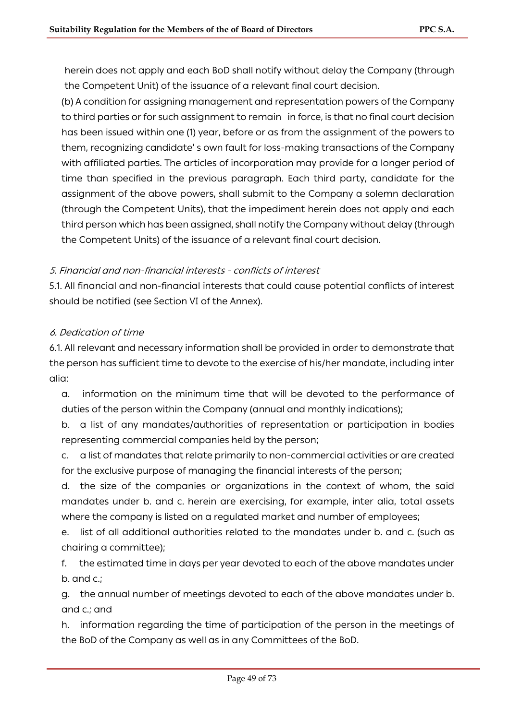herein does not apply and each BoD shall notify without delay the Company (through the Competent Unit) of the issuance of a relevant final court decision.

(b) A condition for assigning management and representation powers of the Company to third parties or for such assignment to remain in force, is that no final court decision has been issued within one (1) year, before or as from the assignment of the powers to them, recognizing candidate' s own fault for loss-making transactions of the Company with affiliated parties. The articles of incorporation may provide for a longer period of time than specified in the previous paragraph. Each third party, candidate for the assignment of the above powers, shall submit to the Company a solemn declaration (through the Competent Units), that the impediment herein does not apply and each third person which has been assigned, shall notify the Company without delay (through the Competent Units) of the issuance of a relevant final court decision.

### 5. Financial and non-financial interests - conflicts of interest

5.1. All financial and non-financial interests that could cause potential conflicts of interest should be notified (see Section VI of the Annex).

## 6. Dedication of time

6.1. All relevant and necessary information shall be provided in order to demonstrate that the person has sufficient time to devote to the exercise of his/her mandate, including inter alia:

a. information on the minimum time that will be devoted to the performance of duties of the person within the Company (annual and monthly indications);

b. a list of any mandates/authorities of representation or participation in bodies representing commercial companies held by the person;

c. a list of mandates that relate primarily to non-commercial activities or are created for the exclusive purpose of managing the financial interests of the person;

d. the size of the companies or organizations in the context of whom, the said mandates under b. and c. herein are exercising, for example, inter alia, total assets where the company is listed on a regulated market and number of employees;

e. list of all additional authorities related to the mandates under b. and c. (such as chairing a committee);

f. the estimated time in days per year devoted to each of the above mandates under b. and c.;

g. the annual number of meetings devoted to each of the above mandates under b. and c.; and

h. information regarding the time of participation of the person in the meetings of the BoD of the Company as well as in any Committees of the BoD.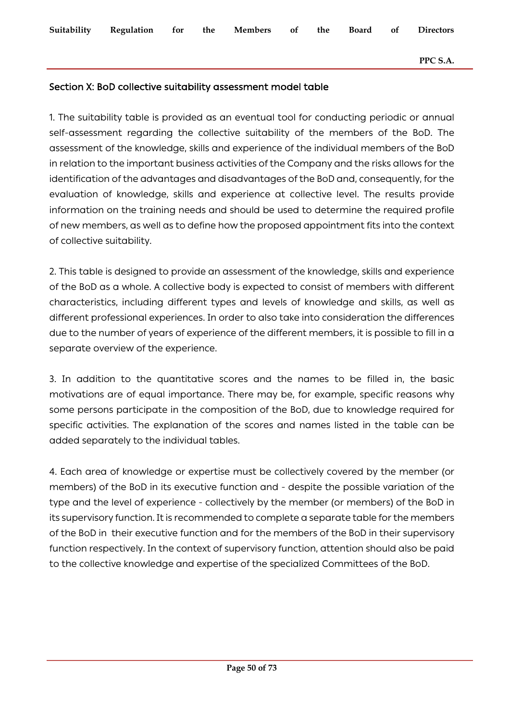#### **PPC S.A.**

## Section X: BoD collective suitability assessment model table

1. The suitability table is provided as an eventual tool for conducting periodic or annual self-assessment regarding the collective suitability of the members of the BoD. The assessment of the knowledge, skills and experience of the individual members of the BoD in relation to the important business activities of the Company and the risks allows for the identification of the advantages and disadvantages of the BoD and, consequently, for the evaluation of knowledge, skills and experience at collective level. The results provide information on the training needs and should be used to determine the required profile of new members, as well as to define how the proposed appointment fits into the context of collective suitability.

2. This table is designed to provide an assessment of the knowledge, skills and experience of the BoD as a whole. A collective body is expected to consist of members with different characteristics, including different types and levels of knowledge and skills, as well as different professional experiences. In order to also take into consideration the differences due to the number of years of experience of the different members, it is possible to fill in a separate overview of the experience.

3. In addition to the quantitative scores and the names to be filled in, the basic motivations are of equal importance. There may be, for example, specific reasons why some persons participate in the composition of the BoD, due to knowledge required for specific activities. The explanation of the scores and names listed in the table can be added separately to the individual tables.

4. Each area of knowledge or expertise must be collectively covered by the member (or members) of the BoD in its executive function and - despite the possible variation of the type and the level of experience - collectively by the member (or members) of the BoD in its supervisory function. It is recommended to complete a separate table for the members of the BoD in their executive function and for the members of the BoD in their supervisory function respectively. In the context of supervisory function, attention should also be paid to the collective knowledge and expertise of the specialized Committees of the BoD.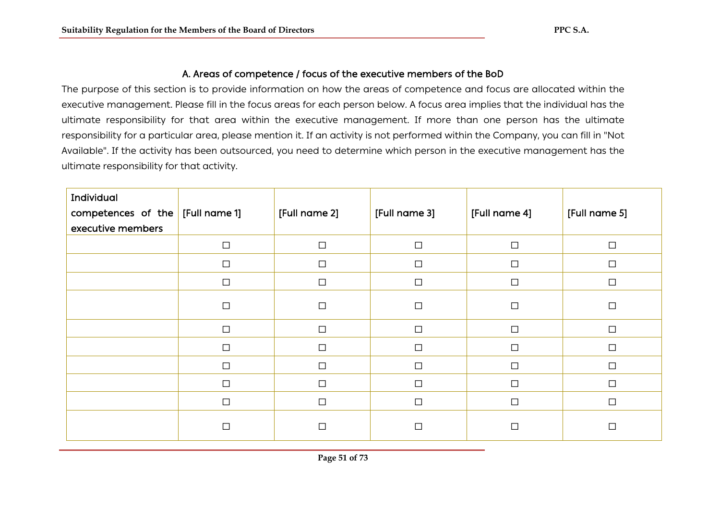## Α. Areas of competence / focus of the executive members of the BoD

The purpose of this section is to provide information on how the areas of competence and focus are allocated within the executive management. Please fill in the focus areas for each person below. A focus area implies that the individual has the ultimate responsibility for that area within the executive management. If more than one person has the ultimate responsibility for a particular area, please mention it. If an activity is not performed within the Company, you can fill in "Not Available". If the activity has been outsourced, you need to determine which person in the executive management has the ultimate responsibility for that activity.

| Individual<br>competences of the<br>executive members | [Full name 1] | [Full name 2] | [Full name 3] | [Full name 4] | [Full name 5] |
|-------------------------------------------------------|---------------|---------------|---------------|---------------|---------------|
|                                                       | $\Box$        | $\Box$        | $\Box$        | $\Box$        | $\Box$        |
|                                                       | $\Box$        | $\Box$        | $\Box$        | $\Box$        | $\Box$        |
|                                                       | $\Box$        | $\Box$        | $\Box$        | $\Box$        | $\Box$        |
|                                                       | $\Box$        | $\Box$        | $\Box$        | □             | $\Box$        |
|                                                       | $\Box$        | $\Box$        | $\Box$        | $\Box$        | $\Box$        |
|                                                       | $\Box$        | $\Box$        | $\Box$        | $\Box$        | $\Box$        |
|                                                       | $\Box$        | $\Box$        | $\Box$        | □             | $\Box$        |
|                                                       | $\Box$        | $\Box$        | $\Box$        | $\Box$        | $\Box$        |
|                                                       | $\Box$        | $\Box$        | $\Box$        | $\Box$        | $\Box$        |
|                                                       | □             | $\Box$        | $\Box$        | П             | $\Box$        |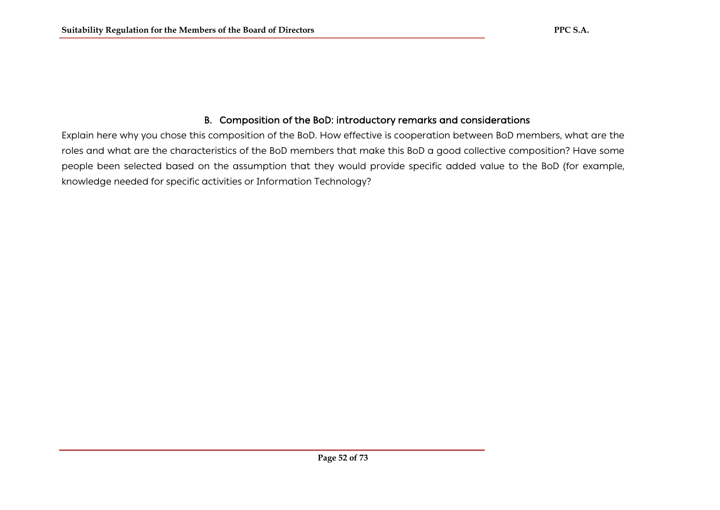## B. Composition of the BoD: introductory remarks and considerations

Explain here why you chose this composition of the BoD. How effective is cooperation between BoD members, what are the roles and what are the characteristics of the BoD members that make this BoD a good collective composition? Have some people been selected based on the assumption that they would provide specific added value to the BoD (for example, knowledge needed for specific activities or Information Technology?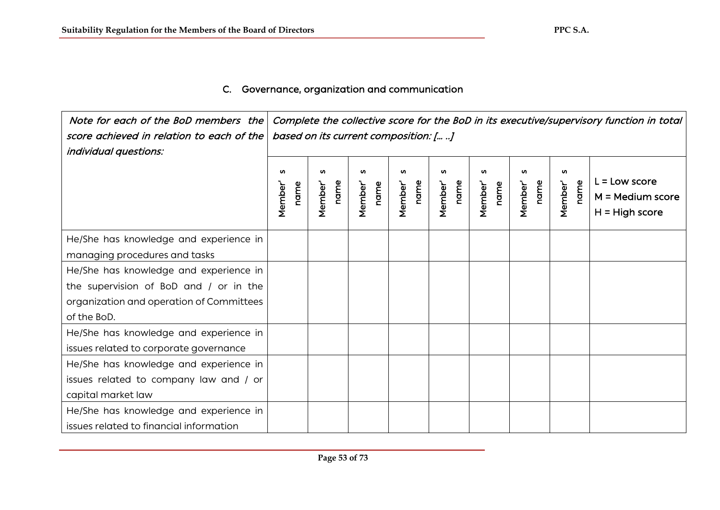## C. Governance, organization and communication

 Note for each of the BoD members the Complete the collective score for the BoD in its executive/supervisory function in total score achieved in relation to each of the based on its current composition: [… ..] individual questions: Member' s<br>name<br>Member' s **SC** Member' s Member' s **u** Member' s **u S** Member' s **S** Member' s  $\mathbf{v}$ Member' s Member' Member'  $L =$ Low score Member' name name name name Member' name name name name name name name name **Member'** name name Member' M = Medium score H = High score He/She has knowledge and experience in managing procedures and tasks He/She has knowledge and experience in the supervision of BoD and / or in the organization and operation of Committees of the BoD. He/She has knowledge and experience in issues related to corporate governance He/She has knowledge and experience in issues related to company law and / or capital market law He/She has knowledge and experience in issues related to financial information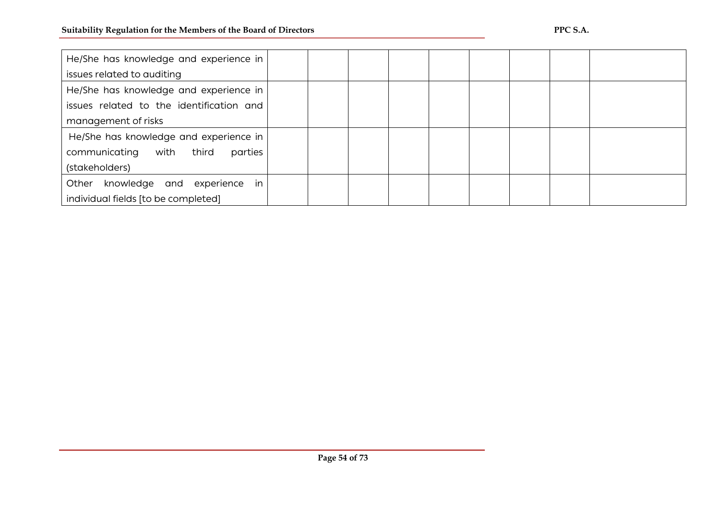| He/She has knowledge and experience in   |  |  |  |  |  |
|------------------------------------------|--|--|--|--|--|
| issues related to auditing               |  |  |  |  |  |
| He/She has knowledge and experience in   |  |  |  |  |  |
| issues related to the identification and |  |  |  |  |  |
| management of risks                      |  |  |  |  |  |
| He/She has knowledge and experience in   |  |  |  |  |  |
| communicating with third<br>parties      |  |  |  |  |  |
| (stakeholders)                           |  |  |  |  |  |
| in<br>knowledge and experience<br>Other  |  |  |  |  |  |
| individual fields [to be completed]      |  |  |  |  |  |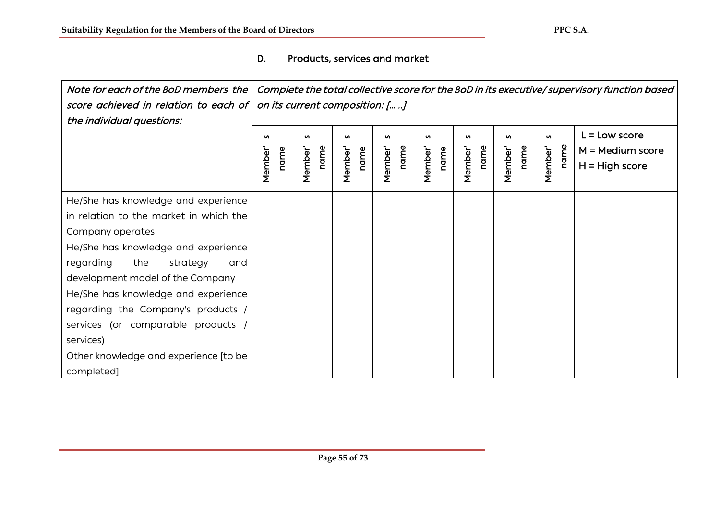D. Products, services and market

| Note for each of the BoD members the<br>score achieved in relation to each of<br>the individual questions: | Complete the total collective score for the BoD in its executive/ supervisory function based<br>on its current composition: [ ] |                            |                     |                     |                      |                     |                     |                             |                                                         |
|------------------------------------------------------------------------------------------------------------|---------------------------------------------------------------------------------------------------------------------------------|----------------------------|---------------------|---------------------|----------------------|---------------------|---------------------|-----------------------------|---------------------------------------------------------|
|                                                                                                            | <b>S</b><br>Member<br>name                                                                                                      | <b>S</b><br>name<br>Member | n<br>name<br>Member | w<br>name<br>Member | w<br>name<br>Member' | w<br>name<br>Member | w<br>name<br>Member | <b>S</b><br>name<br>Member' | L = Low score<br>$M = Medium score$<br>$H = High score$ |
| He/She has knowledge and experience                                                                        |                                                                                                                                 |                            |                     |                     |                      |                     |                     |                             |                                                         |
| in relation to the market in which the                                                                     |                                                                                                                                 |                            |                     |                     |                      |                     |                     |                             |                                                         |
| Company operates                                                                                           |                                                                                                                                 |                            |                     |                     |                      |                     |                     |                             |                                                         |
| He/She has knowledge and experience                                                                        |                                                                                                                                 |                            |                     |                     |                      |                     |                     |                             |                                                         |
| regarding<br>the<br>strategy<br>and                                                                        |                                                                                                                                 |                            |                     |                     |                      |                     |                     |                             |                                                         |
| development model of the Company                                                                           |                                                                                                                                 |                            |                     |                     |                      |                     |                     |                             |                                                         |
| He/She has knowledge and experience                                                                        |                                                                                                                                 |                            |                     |                     |                      |                     |                     |                             |                                                         |
| regarding the Company's products /                                                                         |                                                                                                                                 |                            |                     |                     |                      |                     |                     |                             |                                                         |
| services (or comparable products                                                                           |                                                                                                                                 |                            |                     |                     |                      |                     |                     |                             |                                                         |
| services)                                                                                                  |                                                                                                                                 |                            |                     |                     |                      |                     |                     |                             |                                                         |
| Other knowledge and experience [to be                                                                      |                                                                                                                                 |                            |                     |                     |                      |                     |                     |                             |                                                         |
| completed]                                                                                                 |                                                                                                                                 |                            |                     |                     |                      |                     |                     |                             |                                                         |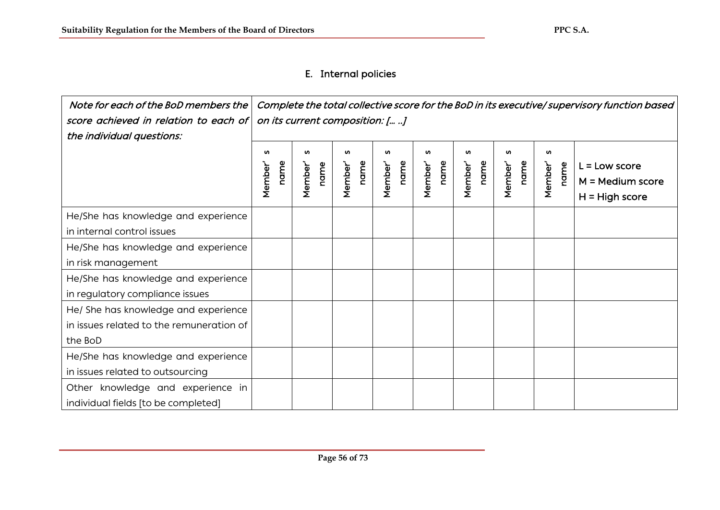# E. Internal policies

| Note for each of the BoD members the<br>score achieved in relation to each of<br>the individual questions: | Complete the total collective score for the BoD in its executive/supervisory function based<br>on its current composition: [ ] |                     |                      |                             |                                  |                      |                      |                      |                                                           |
|------------------------------------------------------------------------------------------------------------|--------------------------------------------------------------------------------------------------------------------------------|---------------------|----------------------|-----------------------------|----------------------------------|----------------------|----------------------|----------------------|-----------------------------------------------------------|
|                                                                                                            | w<br>name<br>Member                                                                                                            | w<br>name<br>Member | w<br>name<br>Member' | <b>S</b><br>name<br>Member' | w<br>name<br>Member <sup>'</sup> | w<br>name<br>Member' | w<br>name<br>Member' | w<br>Member'<br>name | $L =$ Low score<br>$M = Medium score$<br>$H = High score$ |
| He/She has knowledge and experience<br>in internal control issues                                          |                                                                                                                                |                     |                      |                             |                                  |                      |                      |                      |                                                           |
| He/She has knowledge and experience<br>in risk management                                                  |                                                                                                                                |                     |                      |                             |                                  |                      |                      |                      |                                                           |
| He/She has knowledge and experience<br>in regulatory compliance issues                                     |                                                                                                                                |                     |                      |                             |                                  |                      |                      |                      |                                                           |
| He/ She has knowledge and experience<br>in issues related to the remuneration of<br>the BoD                |                                                                                                                                |                     |                      |                             |                                  |                      |                      |                      |                                                           |
| He/She has knowledge and experience<br>in issues related to outsourcing                                    |                                                                                                                                |                     |                      |                             |                                  |                      |                      |                      |                                                           |
| Other knowledge and experience in<br>individual fields [to be completed]                                   |                                                                                                                                |                     |                      |                             |                                  |                      |                      |                      |                                                           |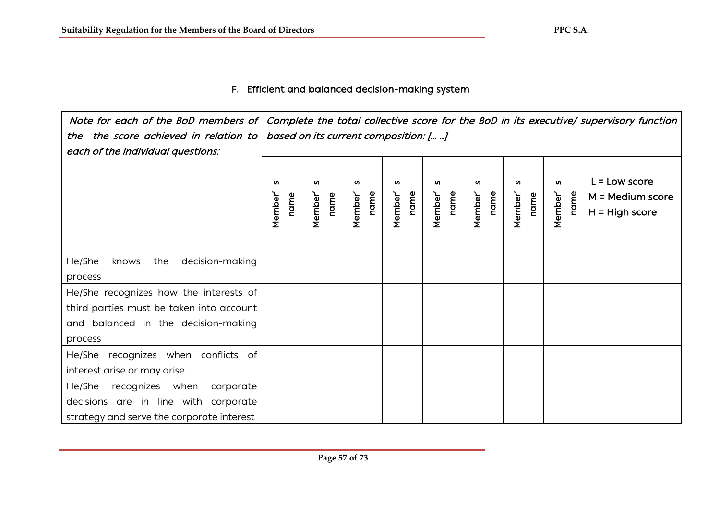## F. Efficient and balanced decision-making system

 Note for each of the BoD members of Complete the total collective score for the BoD in its executive/ supervisory function the the score achieved in relation to based on its current composition: [… ..] each of the individual questions:  $L =$ Low score Member' s<br>name<br>Member' s<br>name<br>Member' s **u** Member' s **u** Member' s **u** Member' s Member' s **u**  $\mathbf{v}$ Member' s name name name Member' name name name Member' name name Member' name name name Member' name Member' M = Medium score H = High score He/She knows the decision-making process He/She recognizes how the interests of third parties must be taken into account and balanced in the decision-making process He/She recognizes when conflicts of interest arise or may arise He/She recognizes when corporate decisions are in line with corporate strategy and serve the corporate interest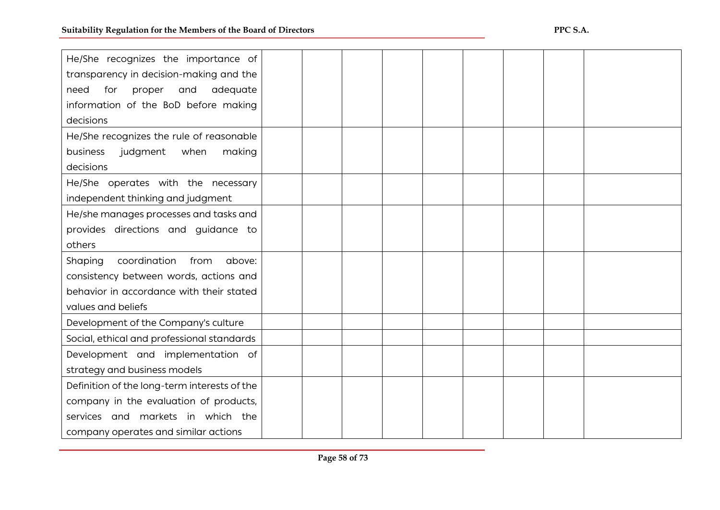| He/She recognizes the importance of          |  |  |  |  |  |
|----------------------------------------------|--|--|--|--|--|
| transparency in decision-making and the      |  |  |  |  |  |
| for<br>proper<br>and<br>adequate<br>need     |  |  |  |  |  |
| information of the BoD before making         |  |  |  |  |  |
| decisions                                    |  |  |  |  |  |
| He/She recognizes the rule of reasonable     |  |  |  |  |  |
| business<br>judgment<br>when<br>making       |  |  |  |  |  |
| decisions                                    |  |  |  |  |  |
| He/She operates with the necessary           |  |  |  |  |  |
| independent thinking and judgment            |  |  |  |  |  |
| He/she manages processes and tasks and       |  |  |  |  |  |
| provides directions and guidance to          |  |  |  |  |  |
| others                                       |  |  |  |  |  |
| coordination<br>from<br>Shaping<br>above:    |  |  |  |  |  |
| consistency between words, actions and       |  |  |  |  |  |
| behavior in accordance with their stated     |  |  |  |  |  |
| values and beliefs                           |  |  |  |  |  |
| Development of the Company's culture         |  |  |  |  |  |
| Social, ethical and professional standards   |  |  |  |  |  |
| Development and implementation of            |  |  |  |  |  |
| strategy and business models                 |  |  |  |  |  |
| Definition of the long-term interests of the |  |  |  |  |  |
| company in the evaluation of products,       |  |  |  |  |  |
| services and markets in which the            |  |  |  |  |  |
| company operates and similar actions         |  |  |  |  |  |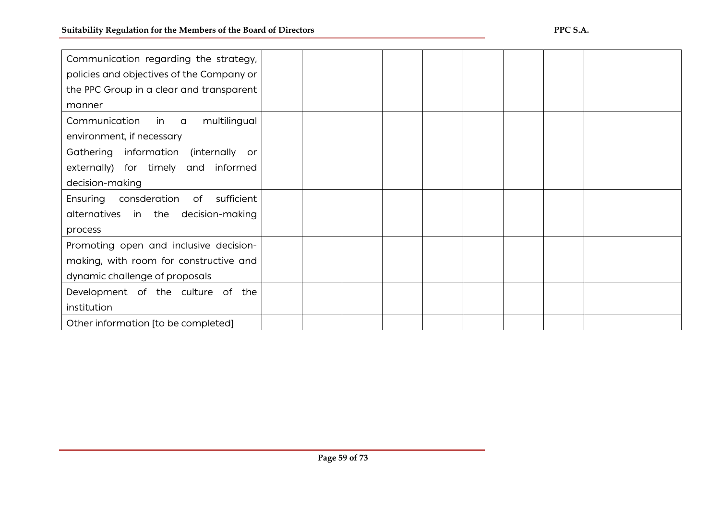| Communication regarding the strategy,<br>policies and objectives of the Company or<br>the PPC Group in a clear and transparent<br>manner |  |  |  |  |  |
|------------------------------------------------------------------------------------------------------------------------------------------|--|--|--|--|--|
| multilingual<br>Communication in a                                                                                                       |  |  |  |  |  |
| environment, if necessary                                                                                                                |  |  |  |  |  |
| Gathering information (internally or                                                                                                     |  |  |  |  |  |
| externally) for timely and informed                                                                                                      |  |  |  |  |  |
| decision-making                                                                                                                          |  |  |  |  |  |
| consderation of<br>Ensuring<br>sufficient                                                                                                |  |  |  |  |  |
| alternatives in the decision-making                                                                                                      |  |  |  |  |  |
| process                                                                                                                                  |  |  |  |  |  |
| Promoting open and inclusive decision-                                                                                                   |  |  |  |  |  |
| making, with room for constructive and                                                                                                   |  |  |  |  |  |
| dynamic challenge of proposals                                                                                                           |  |  |  |  |  |
| Development of the culture of the                                                                                                        |  |  |  |  |  |
| institution                                                                                                                              |  |  |  |  |  |
| Other information [to be completed]                                                                                                      |  |  |  |  |  |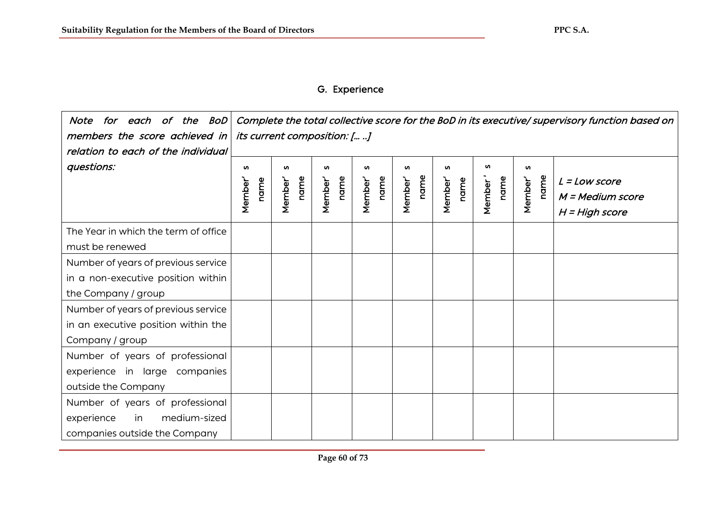# G. Experience

| Note for each of the BoD<br>members the score achieved in<br>relation to each of the individual                                         | Complete the total collective score for the BoD in its executive/ supervisory function based on<br><i>its current composition: [ ]</i> |                     |                     |                     |                             |                     |                     |                      |                                                         |
|-----------------------------------------------------------------------------------------------------------------------------------------|----------------------------------------------------------------------------------------------------------------------------------------|---------------------|---------------------|---------------------|-----------------------------|---------------------|---------------------|----------------------|---------------------------------------------------------|
| questions:                                                                                                                              | w<br>name<br><b>Member</b>                                                                                                             | w<br>name<br>Member | w<br>name<br>Member | w<br>name<br>Member | <b>SV</b><br>name<br>Member | w<br>name<br>Member | w<br>name<br>Member | w<br>name<br>Member' | $L = Low score$<br>M = Medium score<br>$H = High score$ |
| The Year in which the term of office<br>must be renewed                                                                                 |                                                                                                                                        |                     |                     |                     |                             |                     |                     |                      |                                                         |
| Number of years of previous service<br>in a non-executive position within<br>the Company / group<br>Number of years of previous service |                                                                                                                                        |                     |                     |                     |                             |                     |                     |                      |                                                         |
| in an executive position within the<br>Company / group                                                                                  |                                                                                                                                        |                     |                     |                     |                             |                     |                     |                      |                                                         |
| Number of years of professional<br>experience in large companies<br>outside the Company                                                 |                                                                                                                                        |                     |                     |                     |                             |                     |                     |                      |                                                         |
| Number of years of professional<br>medium-sized<br>experience<br>in<br>companies outside the Company                                    |                                                                                                                                        |                     |                     |                     |                             |                     |                     |                      |                                                         |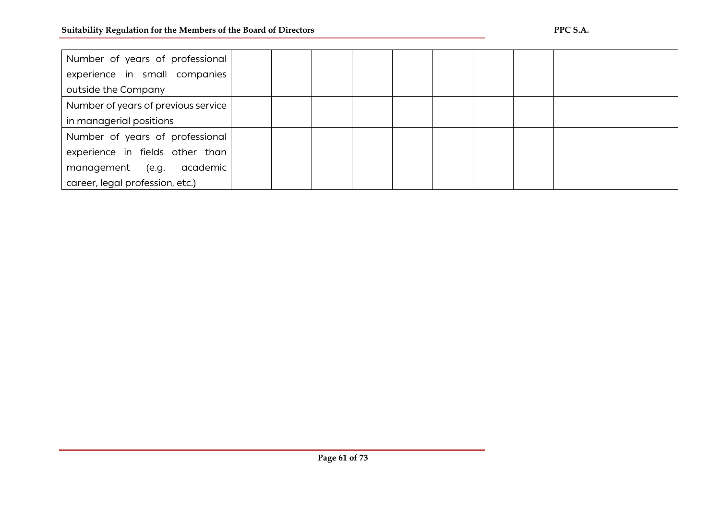l

| Number of years of professional     |  |  |  |  |  |
|-------------------------------------|--|--|--|--|--|
| experience in small companies       |  |  |  |  |  |
| outside the Company                 |  |  |  |  |  |
| Number of years of previous service |  |  |  |  |  |
| in managerial positions             |  |  |  |  |  |
| Number of years of professional     |  |  |  |  |  |
| experience in fields other than     |  |  |  |  |  |
| management (e.g.<br>academic        |  |  |  |  |  |
| career, legal profession, etc.)     |  |  |  |  |  |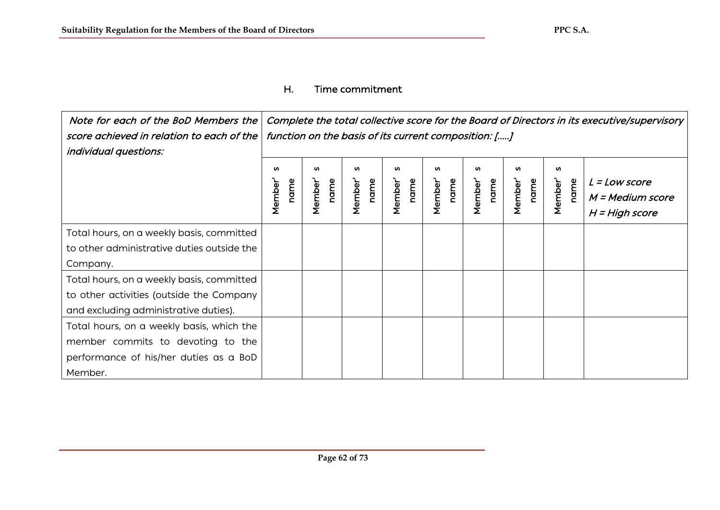## Η. Time commitment

 Νote for each of the BoD Members the Complete the total collective score for the Board of Directors in its executive/supervisory function on the basis of its current composition: [.....] score achieved in relation to each of the individual questions: Member' s<br>
name<br>
Member' s<br>
Member' s<br>
Member' s<br>
Member' s<br>
Member' s<br>
Member' s<br>
Member' s Member' s **u un** Member' s name Member' name Member' name name  $L = Low score$ M = Medium score H = High score Τotal hours, on a weekly basis, committed to other administrative duties outside the Company. Total hours, on a weekly basis, committed to other activities (outside the Company and excluding administrative duties). Total hours, on a weekly basis, which the member commits to devoting to the performance of his/her duties as a BoD Member.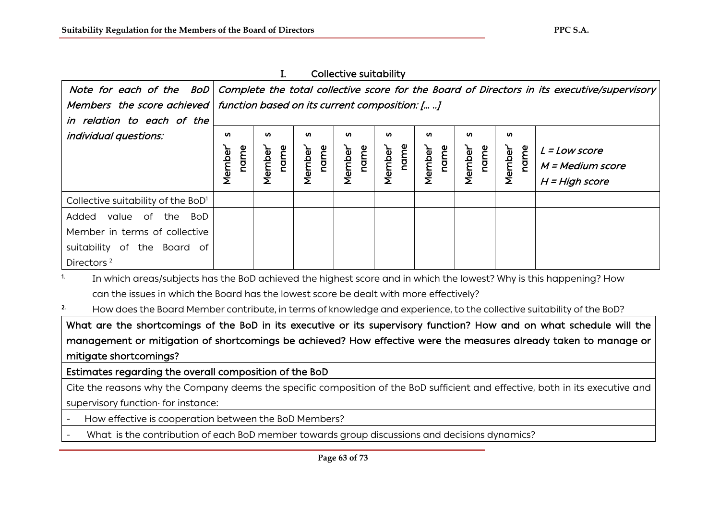|                                                                             |                | . .                                                                                                                    |                 | conceave sareability |                 |                |                 |                             |                  |
|-----------------------------------------------------------------------------|----------------|------------------------------------------------------------------------------------------------------------------------|-----------------|----------------------|-----------------|----------------|-----------------|-----------------------------|------------------|
|                                                                             |                | Note for each of the BoD   Complete the total collective score for the Board of Directors in its executive/supervisory |                 |                      |                 |                |                 |                             |                  |
| Members the score achieved   function based on its current composition: [ ] |                |                                                                                                                        |                 |                      |                 |                |                 |                             |                  |
| in relation to each of the                                                  |                |                                                                                                                        |                 |                      |                 |                |                 |                             |                  |
| <i>individual questions:</i>                                                | <b>S</b>       | <b>S</b>                                                                                                               | <b>S</b>        | w                    | <b>S</b>        | <b>S</b>       | ഗ               | n                           |                  |
|                                                                             |                |                                                                                                                        |                 |                      |                 |                |                 |                             | $L = Low score$  |
|                                                                             | name<br>Member | name<br>Member <sup>'</sup>                                                                                            | Member'<br>name | Member'<br>name      | Member'<br>name | name<br>Member | Member'<br>name | name<br>Member <sup>1</sup> | M = Medium score |
|                                                                             |                |                                                                                                                        |                 |                      |                 |                |                 |                             | $H = High score$ |
|                                                                             |                |                                                                                                                        |                 |                      |                 |                |                 |                             |                  |
| Collective suitability of the BoD <sup>1</sup>                              |                |                                                                                                                        |                 |                      |                 |                |                 |                             |                  |
| value of the BoD<br>Added                                                   |                |                                                                                                                        |                 |                      |                 |                |                 |                             |                  |
| Member in terms of collective                                               |                |                                                                                                                        |                 |                      |                 |                |                 |                             |                  |
| suitability of the Board of                                                 |                |                                                                                                                        |                 |                      |                 |                |                 |                             |                  |
| Directors <sup>2</sup>                                                      |                |                                                                                                                        |                 |                      |                 |                |                 |                             |                  |

I. Collective suitability

<sup>1.</sup> In which areas/subjects has the BoD achieved the highest score and in which the lowest? Why is this happening? How can the issues in which the Board has the lowest score be dealt with more effectively?

<sup>2.</sup> How does the Board Member contribute, in terms of knowledge and experience, to the collective suitability of the BoD?

What are the shortcomings of the BoD in its executive or its supervisory function? How and on what schedule will the management or mitigation of shortcomings be achieved? How effective were the measures already taken to manage or mitigate shortcomings?

Estimates regarding the overall composition of the BoD

Cite the reasons why the Company deems the specific composition of the BoD sufficient and effective, both in its executive and supervisory function· for instance:

- How effective is cooperation between the BoD Members?
- What is the contribution of each BoD member towards group discussions and decisions dynamics?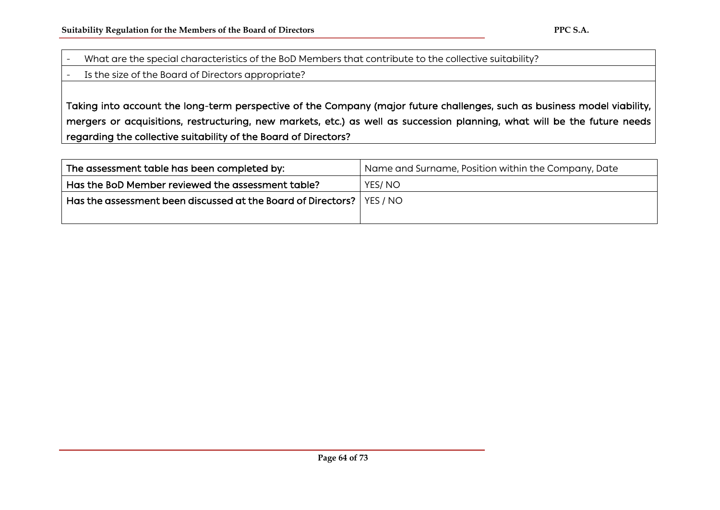- What are the special characteristics of the BoD Members that contribute to the collective suitability?
- Is the size of the Board of Directors appropriate?

Taking into account the long-term perspective of the Company (major future challenges, such as business model viability, mergers or acquisitions, restructuring, new markets, etc.) as well as succession planning, what will be the future needs regarding the collective suitability of the Board of Directors?

| The assessment table has been completed by:                             | Name and Surname, Position within the Company, Date |
|-------------------------------------------------------------------------|-----------------------------------------------------|
| Has the BoD Member reviewed the assessment table?                       | YES/NO                                              |
| Has the assessment been discussed at the Board of Directors?   YES / NO |                                                     |
|                                                                         |                                                     |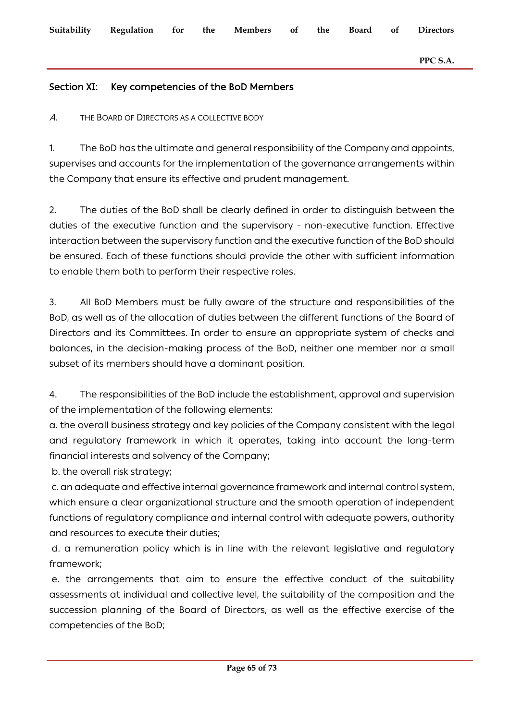### Section XI: Key competencies of the BoD Members

Α. THE BOARD OF DIRECTORS AS A COLLECTIVE BODY

1. The BoD has the ultimate and general responsibility of the Company and appoints, supervises and accounts for the implementation of the governance arrangements within the Company that ensure its effective and prudent management.

2. The duties of the BoD shall be clearly defined in order to distinguish between the duties of the executive function and the supervisory - non-executive function. Effective interaction between the supervisory function and the executive function of the BoD should be ensured. Each of these functions should provide the other with sufficient information to enable them both to perform their respective roles.

3. All BoD Members must be fully aware of the structure and responsibilities of the BoD, as well as of the allocation of duties between the different functions of the Board of Directors and its Committees. In order to ensure an appropriate system of checks and balances, in the decision-making process of the BoD, neither one member nor a small subset of its members should have a dominant position.

4. The responsibilities of the BoD include the establishment, approval and supervision of the implementation of the following elements:

a. the overall business strategy and key policies of the Company consistent with the legal and regulatory framework in which it operates, taking into account the long-term financial interests and solvency of the Company;

b. the overall risk strategy;

c. an adequate and effective internal governance framework and internal control system, which ensure a clear organizational structure and the smooth operation of independent functions of regulatory compliance and internal control with adequate powers, authority and resources to execute their duties;

d. a remuneration policy which is in line with the relevant legislative and regulatory framework;

e. the arrangements that aim to ensure the effective conduct of the suitability assessments at individual and collective level, the suitability of the composition and the succession planning of the Board of Directors, as well as the effective exercise of the competencies of the BoD;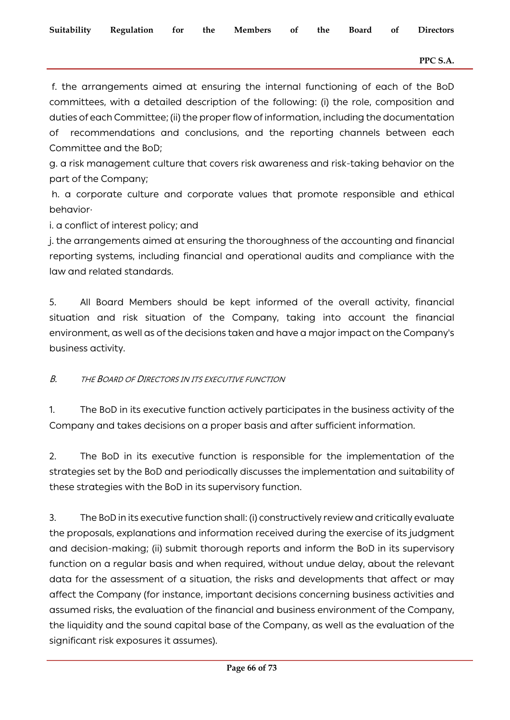f. the arrangements aimed at ensuring the internal functioning of each of the BoD committees, with a detailed description of the following: (i) the role, composition and duties of each Committee; (ii) the proper flow of information, including the documentation of recommendations and conclusions, and the reporting channels between each Committee and the BoD;

g. a risk management culture that covers risk awareness and risk-taking behavior on the part of the Company;

h. a corporate culture and corporate values that promote responsible and ethical behavior·

i. a conflict of interest policy; and

j. the arrangements aimed at ensuring the thoroughness of the accounting and financial reporting systems, including financial and operational audits and compliance with the law and related standards.

5. All Board Members should be kept informed of the overall activity, financial situation and risk situation of the Company, taking into account the financial environment, as well as of the decisions taken and have a major impact on the Company's business activity.

B. THE BOARD OF DIRECTORS IN ITS EXECUTIVE FUNCTION

1. The BoD in its executive function actively participates in the business activity of the Company and takes decisions on a proper basis and after sufficient information.

2. The BoD in its executive function is responsible for the implementation of the strategies set by the BoD and periodically discusses the implementation and suitability of these strategies with the BoD in its supervisory function.

3. The BoD in its executive function shall: (i) constructively review and critically evaluate the proposals, explanations and information received during the exercise of its judgment and decision-making; (ii) submit thorough reports and inform the BoD in its supervisory function on a regular basis and when required, without undue delay, about the relevant data for the assessment of a situation, the risks and developments that affect or may affect the Company (for instance, important decisions concerning business activities and assumed risks, the evaluation of the financial and business environment of the Company, the liquidity and the sound capital base of the Company, as well as the evaluation of the significant risk exposures it assumes).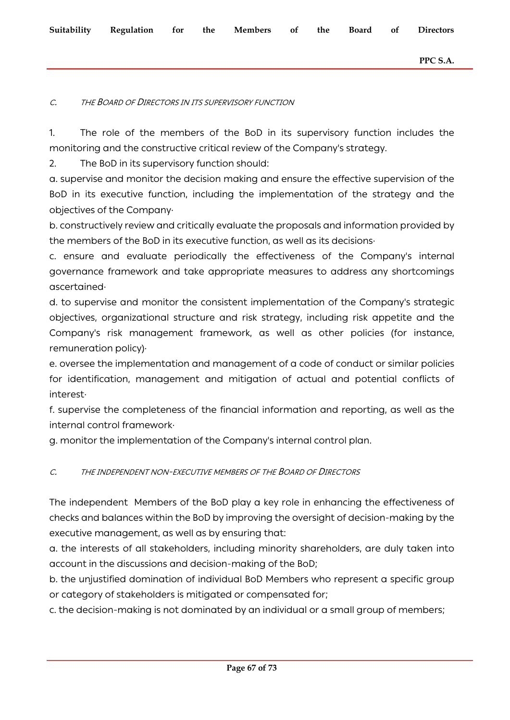#### C. THE BOARD OF DIRECTORS IN ITS SUPERVISORY FUNCTION

1. The role of the members of the BoD in its supervisory function includes the monitoring and the constructive critical review of the Company's strategy.

2. The BoD in its supervisory function should:

a. supervise and monitor the decision making and ensure the effective supervision of the BoD in its executive function, including the implementation of the strategy and the objectives of the Company·

b. constructively review and critically evaluate the proposals and information provided by the members of the BoD in its executive function, as well as its decisions·

c. ensure and evaluate periodically the effectiveness of the Company's internal governance framework and take appropriate measures to address any shortcomings ascertained·

d. to supervise and monitor the consistent implementation of the Company's strategic objectives, organizational structure and risk strategy, including risk appetite and the Company's risk management framework, as well as other policies (for instance, remuneration policy)·

e. oversee the implementation and management of a code of conduct or similar policies for identification, management and mitigation of actual and potential conflicts of interest·

f. supervise the completeness of the financial information and reporting, as well as the internal control framework·

g. monitor the implementation of the Company's internal control plan.

### C. THE INDEPENDENT NON-EXECUTIVE MEMBERS OF THE BOARD OF DIRECTORS

The independent Members of the BoD play a key role in enhancing the effectiveness of checks and balances within the BoD by improving the oversight of decision-making by the executive management, as well as by ensuring that:

a. the interests of all stakeholders, including minority shareholders, are duly taken into account in the discussions and decision-making of the BoD;

b. the unjustified domination of individual BoD Members who represent a specific group or category of stakeholders is mitigated or compensated for;

c. the decision-making is not dominated by an individual or a small group of members;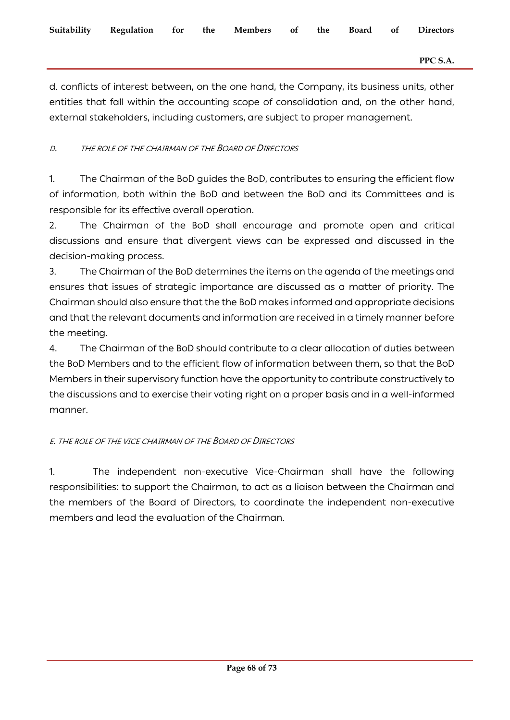d. conflicts of interest between, on the one hand, the Company, its business units, other entities that fall within the accounting scope of consolidation and, on the other hand, external stakeholders, including customers, are subject to proper management.

## D. THE ROLE OF THE CHAIRMAN OF THE BOARD OF DIRECTORS

1. The Chairman of the BoD guides the BoD, contributes to ensuring the efficient flow of information, both within the BoD and between the BoD and its Committees and is responsible for its effective overall operation.

2. The Chairman of the BoD shall encourage and promote open and critical discussions and ensure that divergent views can be expressed and discussed in the decision-making process.

3. The Chairman of the BoD determines the items on the agenda of the meetings and ensures that issues of strategic importance are discussed as a matter of priority. The Chairman should also ensure that the the BoD makes informed and appropriate decisions and that the relevant documents and information are received in a timely manner before the meeting.

4. The Chairman of the BoD should contribute to a clear allocation of duties between the BoD Members and to the efficient flow of information between them, so that the BoD Members in their supervisory function have the opportunity to contribute constructively to the discussions and to exercise their voting right on a proper basis and in a well-informed manner.

## Ε. THE ROLE OF THE VICE CHAIRMAN OF THE BOARD OF DIRECTORS

1. The independent non-executive Vice-Chairman shall have the following responsibilities: to support the Chairman, to act as a liaison between the Chairman and the members of the Board of Directors, to coordinate the independent non-executive members and lead the evaluation of the Chairman.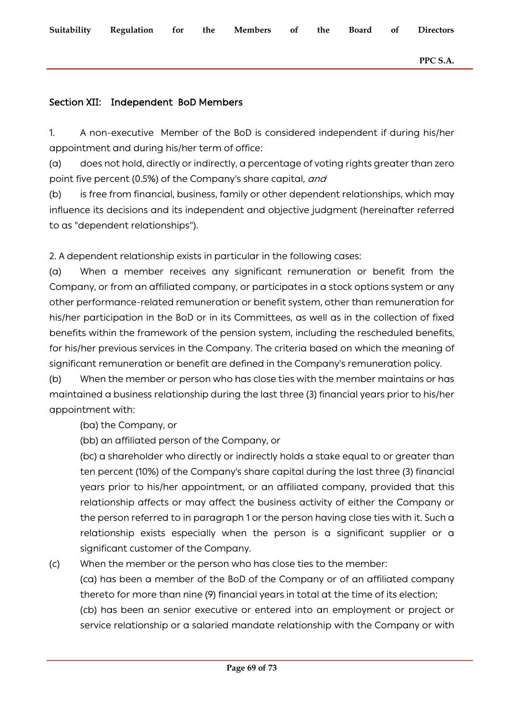**Suitability Regulation for the Members of the Board of Directors PPC S.A.**

## Section XII: Independent BoD Members

1. A non-executive Member of the BoD is considered independent if during his/her appointment and during his/her term of office:

(a) does not hold, directly or indirectly, a percentage of voting rights greater than zero point five percent (0.5%) of the Company's share capital, and

(b) is free from financial, business, family or other dependent relationships, which may influence its decisions and its independent and objective judgment (hereinafter referred to as "dependent relationships").

2. A dependent relationship exists in particular in the following cases:

(a) When a member receives any significant remuneration or benefit from the Company, or from an affiliated company, or participates in a stock options system or any other performance-related remuneration or benefit system, other than remuneration for his/her participation in the BoD or in its Committees, as well as in the collection of fixed benefits within the framework of the pension system, including the rescheduled benefits, for his/her previous services in the Company. The criteria based on which the meaning of significant remuneration or benefit are defined in the Company's remuneration policy.

(b) When the member or person who has close ties with the member maintains or has maintained a business relationship during the last three (3) financial years prior to his/her appointment with:

(ba) the Company, or

(bb) an affiliated person of the Company, or

(bc) a shareholder who directly or indirectly holds a stake equal to or greater than ten percent (10%) of the Company's share capital during the last three (3) financial years prior to his/her appointment, or an affiliated company, provided that this relationship affects or may affect the business activity of either the Company or the person referred to in paragraph 1 or the person having close ties with it. Such a relationship exists especially when the person is a significant supplier or a significant customer of the Company.

(c) When the member or the person who has close ties to the member:

(ca) has been a member of the BoD of the Company or of an affiliated company thereto for more than nine (9) financial years in total at the time of its election;

(cb) has been an senior executive or entered into an employment or project or service relationship or a salaried mandate relationship with the Company or with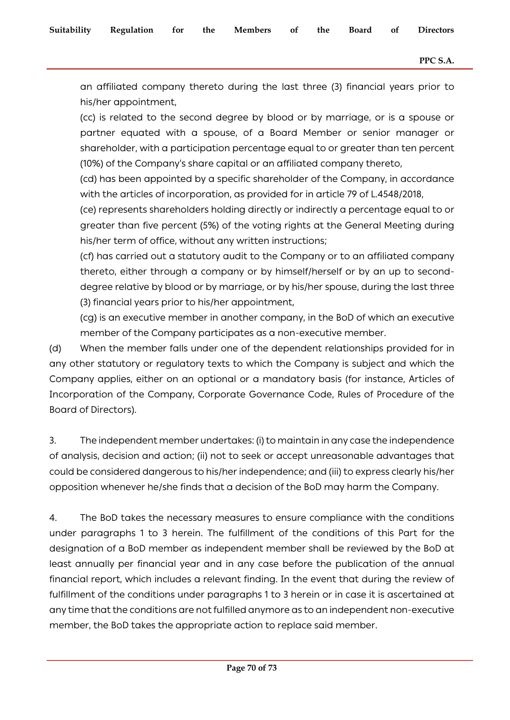an affiliated company thereto during the last three (3) financial years prior to his/her appointment,

(cc) is related to the second degree by blood or by marriage, or is a spouse or partner equated with a spouse, of a Board Member or senior manager or shareholder, with a participation percentage equal to or greater than ten percent (10%) of the Company's share capital or an affiliated company thereto,

(cd) has been appointed by a specific shareholder of the Company, in accordance with the articles of incorporation, as provided for in article 79 of L.4548/2018,

(ce) represents shareholders holding directly or indirectly a percentage equal to or greater than five percent (5%) of the voting rights at the General Meeting during his/her term of office, without any written instructions;

(cf) has carried out a statutory audit to the Company or to an affiliated company thereto, either through a company or by himself/herself or by an up to seconddegree relative by blood or by marriage, or by his/her spouse, during the last three (3) financial years prior to his/her appointment,

(cg) is an executive member in another company, in the BoD of which an executive member of the Company participates as a non-executive member.

(d) When the member falls under one of the dependent relationships provided for in any other statutory or regulatory texts to which the Company is subject and which the Company applies, either on an optional or a mandatory basis (for instance, Articles of Incorporation of the Company, Corporate Governance Code, Rules of Procedure of the Board of Directors).

3. The independent member undertakes: (i) to maintain in any case the independence of analysis, decision and action; (ii) not to seek or accept unreasonable advantages that could be considered dangerous to his/her independence; and (iii) to express clearly his/her opposition whenever he/she finds that a decision of the BoD may harm the Company.

4. The BoD takes the necessary measures to ensure compliance with the conditions under paragraphs 1 to 3 herein. The fulfillment of the conditions of this Part for the designation of a BoD member as independent member shall be reviewed by the BoD at least annually per financial year and in any case before the publication of the annual financial report, which includes a relevant finding. In the event that during the review of fulfillment of the conditions under paragraphs 1 to 3 herein or in case it is ascertained at any time that the conditions are not fulfilled anymore as to an independent non-executive member, the BoD takes the appropriate action to replace said member.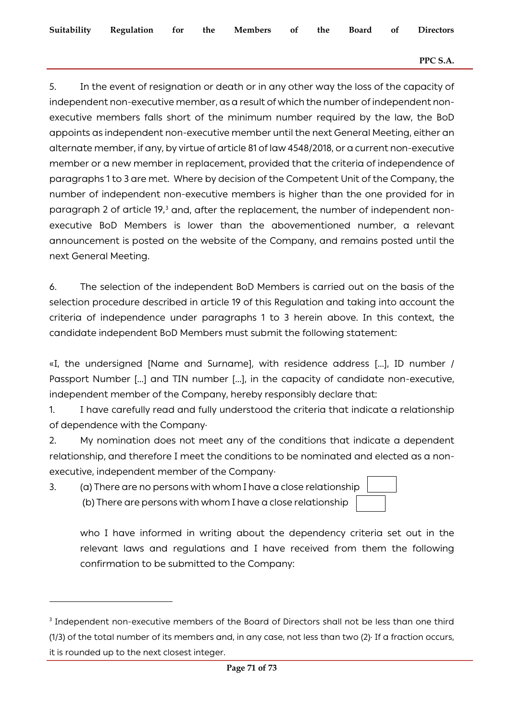#### **PPC S.A.**

5. In the event of resignation or death or in any other way the loss of the capacity of independent non-executive member, as a result of which the number of independent nonexecutive members falls short of the minimum number required by the law, the BoD appoints as independent non-executive member until the next General Meeting, either an alternate member, if any, by virtue of article 81 of law 4548/2018, or a current non-executive member or a new member in replacement, provided that the criteria of independence of paragraphs 1 to 3 are met. Where by decision of the Competent Unit of the Company, the number of independent non-executive members is higher than the one provided for in paragraph 2 of article 19,<sup>[3](#page-70-0)</sup> and, after the replacement, the number of independent nonexecutive BoD Members is lower than the abovementioned number, a relevant announcement is posted on the website of the Company, and remains posted until the next General Meeting.

6. The selection of the independent BoD Members is carried out on the basis of the selection procedure described in article 19 of this Regulation and taking into account the criteria of independence under paragraphs 1 to 3 herein above. In this context, the candidate independent BoD Members must submit the following statement:

«I, the undersigned [Name and Surname], with residence address [...], ID number / Passport Number [...] and TIN number [...], in the capacity of candidate non-executive, independent member of the Company, hereby responsibly declare that:

1. I have carefully read and fully understood the criteria that indicate a relationship of dependence with the Company·

2. My nomination does not meet any of the conditions that indicate a dependent relationship, and therefore I meet the conditions to be nominated and elected as a nonexecutive, independent member of the Company·

3. (a) There are no persons with whom I have a close relationship (b) There are persons with whom I have a close relationship

who I have informed in writing about the dependency criteria set out in the relevant laws and regulations and I have received from them the following confirmation to be submitted to the Company:

<span id="page-70-0"></span><sup>&</sup>lt;sup>3</sup> Independent non-executive members of the Board of Directors shall not be less than one third (1/3) of the total number of its members and, in any case, not less than two (2)· If a fraction occurs, it is rounded up to the next closest integer.